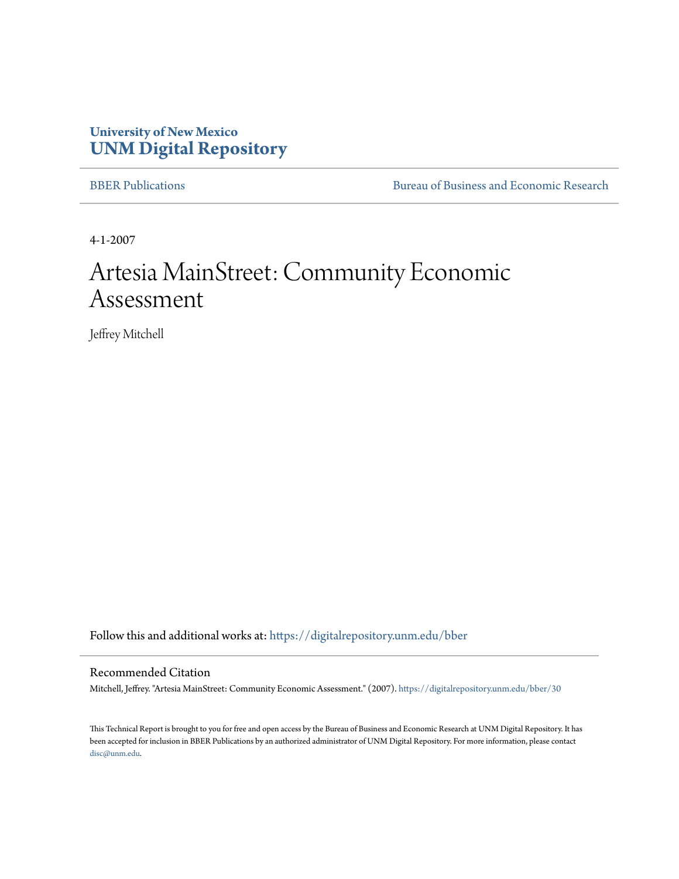# **University of New Mexico [UNM Digital Repository](https://digitalrepository.unm.edu?utm_source=digitalrepository.unm.edu%2Fbber%2F30&utm_medium=PDF&utm_campaign=PDFCoverPages)**

[BBER Publications](https://digitalrepository.unm.edu/bber?utm_source=digitalrepository.unm.edu%2Fbber%2F30&utm_medium=PDF&utm_campaign=PDFCoverPages) [Bureau of Business and Economic Research](https://digitalrepository.unm.edu/business_economic_research?utm_source=digitalrepository.unm.edu%2Fbber%2F30&utm_medium=PDF&utm_campaign=PDFCoverPages)

4-1-2007

# Artesia MainStreet: Community Economic Assessment

Jeffrey Mitchell

Follow this and additional works at: [https://digitalrepository.unm.edu/bber](https://digitalrepository.unm.edu/bber?utm_source=digitalrepository.unm.edu%2Fbber%2F30&utm_medium=PDF&utm_campaign=PDFCoverPages)

#### Recommended Citation

Mitchell, Jeffrey. "Artesia MainStreet: Community Economic Assessment." (2007). [https://digitalrepository.unm.edu/bber/30](https://digitalrepository.unm.edu/bber/30?utm_source=digitalrepository.unm.edu%2Fbber%2F30&utm_medium=PDF&utm_campaign=PDFCoverPages)

This Technical Report is brought to you for free and open access by the Bureau of Business and Economic Research at UNM Digital Repository. It has been accepted for inclusion in BBER Publications by an authorized administrator of UNM Digital Repository. For more information, please contact [disc@unm.edu](mailto:disc@unm.edu).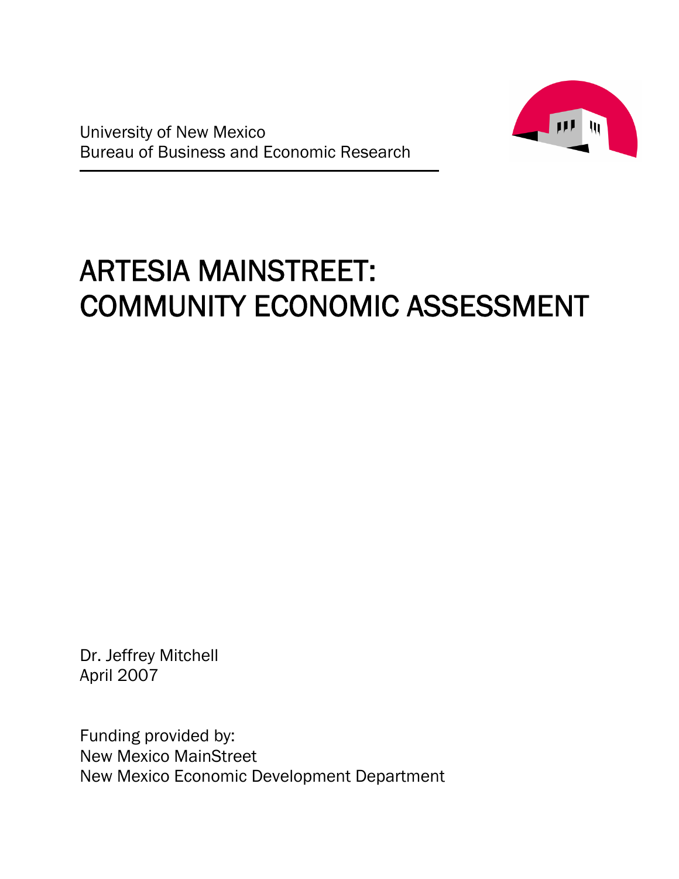



# ARTESIA MAINSTREET: COMMUNITY ECONOMIC ASSESSMENT

Dr. Jeffrey Mitchell April 2007

Funding provided by: New Mexico MainStreet New Mexico Economic Development Department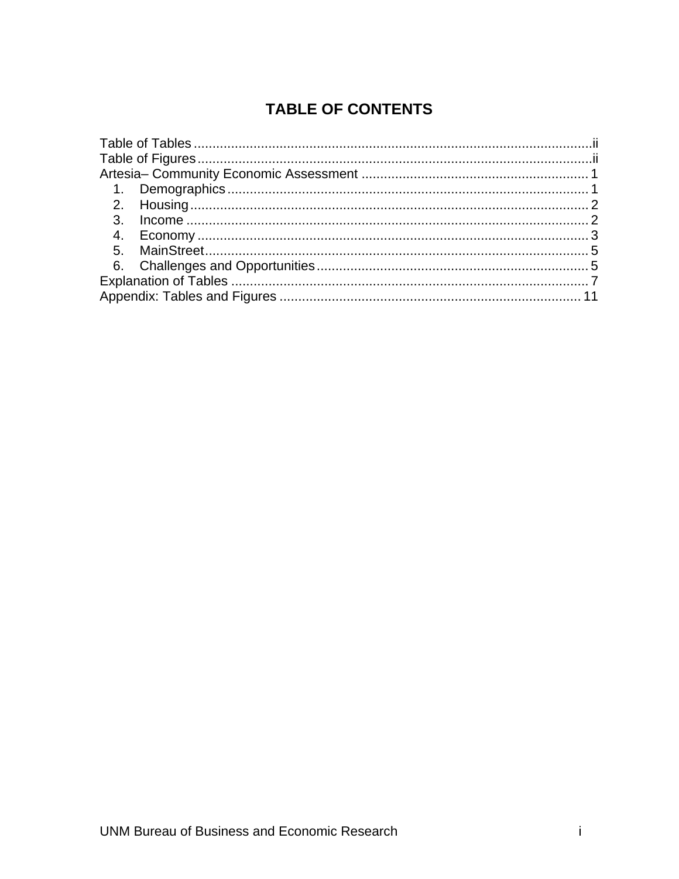# **TABLE OF CONTENTS**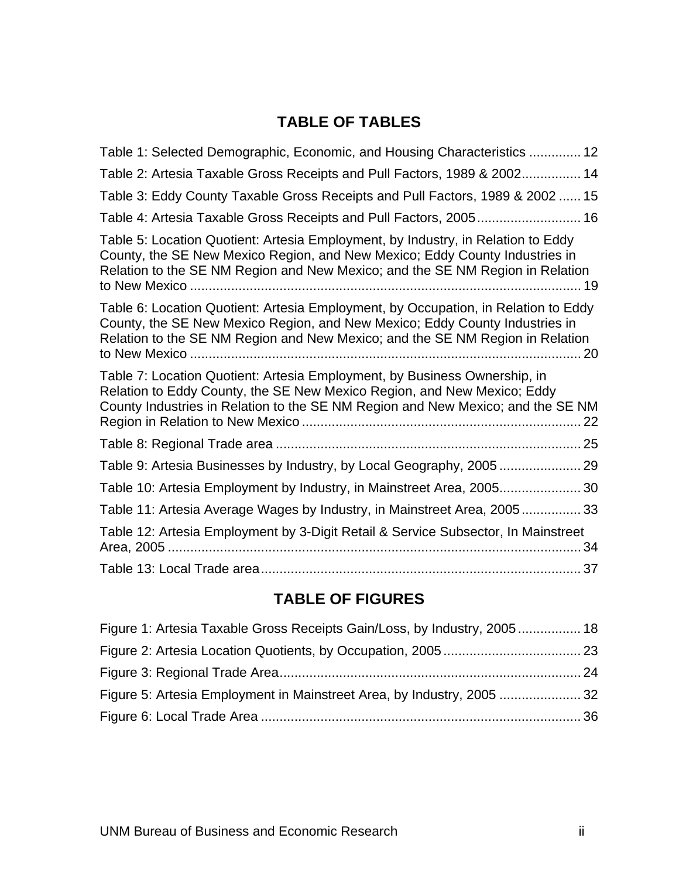# **TABLE OF TABLES**

<span id="page-3-0"></span>

| Table 1: Selected Demographic, Economic, and Housing Characteristics  12                                                                                                                                                                                 |
|----------------------------------------------------------------------------------------------------------------------------------------------------------------------------------------------------------------------------------------------------------|
| Table 2: Artesia Taxable Gross Receipts and Pull Factors, 1989 & 2002 14                                                                                                                                                                                 |
| Table 3: Eddy County Taxable Gross Receipts and Pull Factors, 1989 & 2002  15                                                                                                                                                                            |
| Table 4: Artesia Taxable Gross Receipts and Pull Factors, 2005 16                                                                                                                                                                                        |
| Table 5: Location Quotient: Artesia Employment, by Industry, in Relation to Eddy<br>County, the SE New Mexico Region, and New Mexico; Eddy County Industries in<br>Relation to the SE NM Region and New Mexico; and the SE NM Region in Relation         |
| Table 6: Location Quotient: Artesia Employment, by Occupation, in Relation to Eddy<br>County, the SE New Mexico Region, and New Mexico; Eddy County Industries in<br>Relation to the SE NM Region and New Mexico; and the SE NM Region in Relation<br>20 |
| Table 7: Location Quotient: Artesia Employment, by Business Ownership, in<br>Relation to Eddy County, the SE New Mexico Region, and New Mexico; Eddy<br>County Industries in Relation to the SE NM Region and New Mexico; and the SE NM                  |
|                                                                                                                                                                                                                                                          |
|                                                                                                                                                                                                                                                          |
| Table 10: Artesia Employment by Industry, in Mainstreet Area, 2005 30                                                                                                                                                                                    |
| Table 11: Artesia Average Wages by Industry, in Mainstreet Area, 2005 33                                                                                                                                                                                 |
| Table 12: Artesia Employment by 3-Digit Retail & Service Subsector, In Mainstreet<br>34                                                                                                                                                                  |
|                                                                                                                                                                                                                                                          |

# **TABLE OF FIGURES**

| Figure 1: Artesia Taxable Gross Receipts Gain/Loss, by Industry, 2005 18 |  |
|--------------------------------------------------------------------------|--|
|                                                                          |  |
|                                                                          |  |
|                                                                          |  |
|                                                                          |  |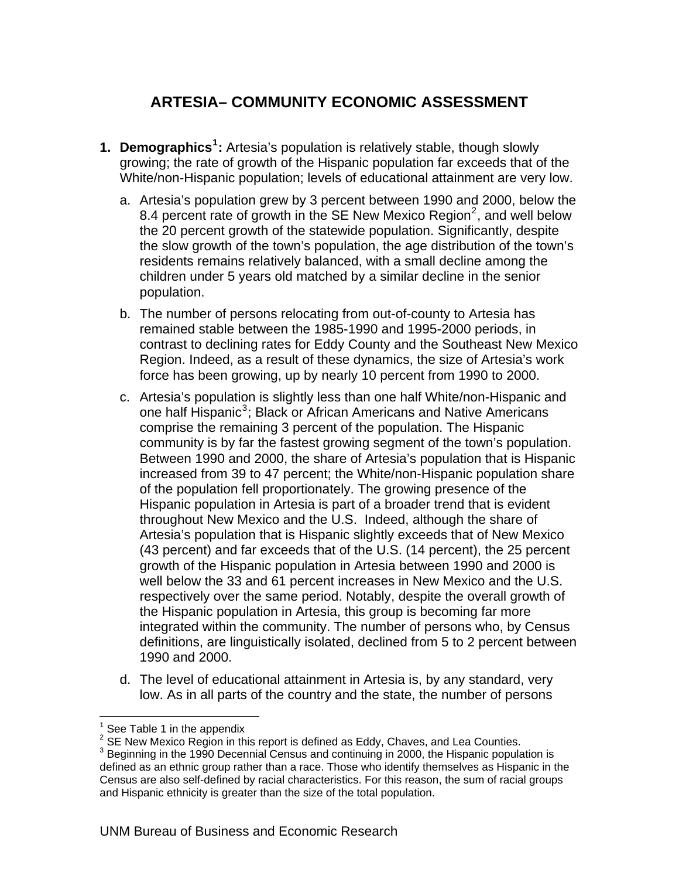# **ARTESIA– COMMUNITY ECONOMIC ASSESSMENT**

- <span id="page-4-0"></span>**1. Demographics[1](#page-4-1) :** Artesia's population is relatively stable, though slowly growing; the rate of growth of the Hispanic population far exceeds that of the White/non-Hispanic population; levels of educational attainment are very low.
	- a. Artesia's population grew by 3 percent between 1990 and 2000, below the 8.4 percent rate of growth in the SE New Mexico Region<sup>[2](#page-4-2)</sup>, and well below the 20 percent growth of the statewide population. Significantly, despite the slow growth of the town's population, the age distribution of the town's residents remains relatively balanced, with a small decline among the children under 5 years old matched by a similar decline in the senior population.
	- b. The number of persons relocating from out-of-county to Artesia has remained stable between the 1985-1990 and 1995-2000 periods, in contrast to declining rates for Eddy County and the Southeast New Mexico Region. Indeed, as a result of these dynamics, the size of Artesia's work force has been growing, up by nearly 10 percent from 1990 to 2000.
	- c. Artesia's population is slightly less than one half White/non-Hispanic and one half Hispanic<sup>[3](#page-4-3)</sup>; Black or African Americans and Native Americans comprise the remaining 3 percent of the population. The Hispanic community is by far the fastest growing segment of the town's population. Between 1990 and 2000, the share of Artesia's population that is Hispanic increased from 39 to 47 percent; the White/non-Hispanic population share of the population fell proportionately. The growing presence of the Hispanic population in Artesia is part of a broader trend that is evident throughout New Mexico and the U.S. Indeed, although the share of Artesia's population that is Hispanic slightly exceeds that of New Mexico (43 percent) and far exceeds that of the U.S. (14 percent), the 25 percent growth of the Hispanic population in Artesia between 1990 and 2000 is well below the 33 and 61 percent increases in New Mexico and the U.S. respectively over the same period. Notably, despite the overall growth of the Hispanic population in Artesia, this group is becoming far more integrated within the community. The number of persons who, by Census definitions, are linguistically isolated, declined from 5 to 2 percent between 1990 and 2000.
	- d. The level of educational attainment in Artesia is, by any standard, very low. As in all parts of the country and the state, the number of persons

 $\overline{a}$ 

<sup>1</sup> See Table 1 in the appendix

 $^2$  SE New Mexico Region in this report is defined as Eddy, Chaves, and Lea Counties.<br><sup>3</sup> Beginning in the 1000 Decennial Canaus and continuing in 2000, the Hinnenia penula

<span id="page-4-3"></span><span id="page-4-2"></span><span id="page-4-1"></span> $3$  Beginning in the 1990 Decennial Census and continuing in 2000, the Hispanic population is defined as an ethnic group rather than a race. Those who identify themselves as Hispanic in the Census are also self-defined by racial characteristics. For this reason, the sum of racial groups and Hispanic ethnicity is greater than the size of the total population.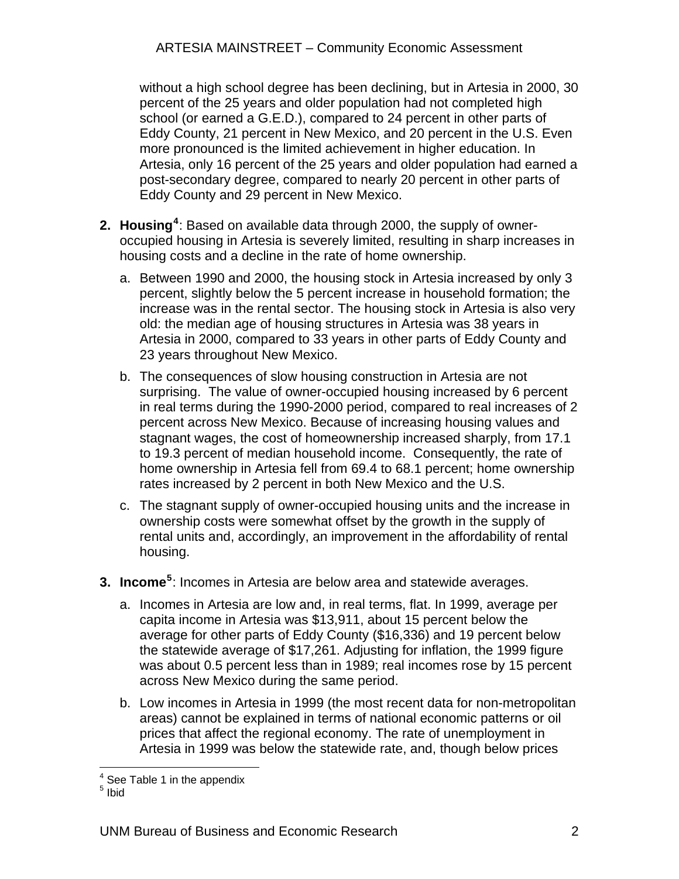<span id="page-5-0"></span>without a high school degree has been declining, but in Artesia in 2000, 30 percent of the 25 years and older population had not completed high school (or earned a G.E.D.), compared to 24 percent in other parts of Eddy County, 21 percent in New Mexico, and 20 percent in the U.S. Even more pronounced is the limited achievement in higher education. In Artesia, only 16 percent of the 25 years and older population had earned a post-secondary degree, compared to nearly 20 percent in other parts of Eddy County and 29 percent in New Mexico.

- **2. Housing[4](#page-5-1)** : Based on available data through 2000, the supply of owneroccupied housing in Artesia is severely limited, resulting in sharp increases in housing costs and a decline in the rate of home ownership.
	- a. Between 1990 and 2000, the housing stock in Artesia increased by only 3 percent, slightly below the 5 percent increase in household formation; the increase was in the rental sector. The housing stock in Artesia is also very old: the median age of housing structures in Artesia was 38 years in Artesia in 2000, compared to 33 years in other parts of Eddy County and 23 years throughout New Mexico.
	- b. The consequences of slow housing construction in Artesia are not surprising. The value of owner-occupied housing increased by 6 percent in real terms during the 1990-2000 period, compared to real increases of 2 percent across New Mexico. Because of increasing housing values and stagnant wages, the cost of homeownership increased sharply, from 17.1 to 19.3 percent of median household income. Consequently, the rate of home ownership in Artesia fell from 69.4 to 68.1 percent; home ownership rates increased by 2 percent in both New Mexico and the U.S.
	- c. The stagnant supply of owner-occupied housing units and the increase in ownership costs were somewhat offset by the growth in the supply of rental units and, accordingly, an improvement in the affordability of rental housing.
- **3. Income<sup>[5](#page-5-2)</sup>:** Incomes in Artesia are below area and statewide averages.
	- a. Incomes in Artesia are low and, in real terms, flat. In 1999, average per capita income in Artesia was \$13,911, about 15 percent below the average for other parts of Eddy County (\$16,336) and 19 percent below the statewide average of \$17,261. Adjusting for inflation, the 1999 figure was about 0.5 percent less than in 1989; real incomes rose by 15 percent across New Mexico during the same period.
	- b. Low incomes in Artesia in 1999 (the most recent data for non-metropolitan areas) cannot be explained in terms of national economic patterns or oil prices that affect the regional economy. The rate of unemployment in Artesia in 1999 was below the statewide rate, and, though below prices

 4 See Table 1 in the appendix

<span id="page-5-2"></span><span id="page-5-1"></span><sup>&</sup>lt;sup>5</sup> Ibid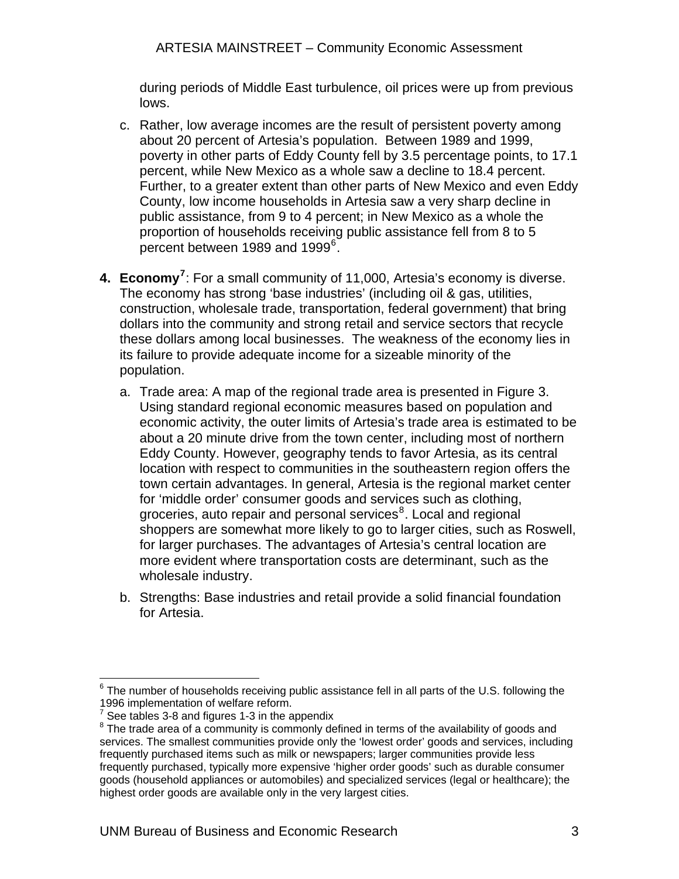<span id="page-6-0"></span>during periods of Middle East turbulence, oil prices were up from previous lows.

- c. Rather, low average incomes are the result of persistent poverty among about 20 percent of Artesia's population. Between 1989 and 1999, poverty in other parts of Eddy County fell by 3.5 percentage points, to 17.1 percent, while New Mexico as a whole saw a decline to 18.4 percent. Further, to a greater extent than other parts of New Mexico and even Eddy County, low income households in Artesia saw a very sharp decline in public assistance, from 9 to 4 percent; in New Mexico as a whole the proportion of households receiving public assistance fell from 8 to 5 percent between 1989 and 1999 $^6$  $^6$ .
- **4. Economy[7](#page-6-2)** : For a small community of 11,000, Artesia's economy is diverse. The economy has strong 'base industries' (including oil & gas, utilities, construction, wholesale trade, transportation, federal government) that bring dollars into the community and strong retail and service sectors that recycle these dollars among local businesses. The weakness of the economy lies in its failure to provide adequate income for a sizeable minority of the population.
	- a. Trade area: A map of the regional trade area is presented in Figure 3. Using standard regional economic measures based on population and economic activity, the outer limits of Artesia's trade area is estimated to be about a 20 minute drive from the town center, including most of northern Eddy County. However, geography tends to favor Artesia, as its central location with respect to communities in the southeastern region offers the town certain advantages. In general, Artesia is the regional market center for 'middle order' consumer goods and services such as clothing, groceries, auto repair and personal services<sup>[8](#page-6-3)</sup>. Local and regional shoppers are somewhat more likely to go to larger cities, such as Roswell, for larger purchases. The advantages of Artesia's central location are more evident where transportation costs are determinant, such as the wholesale industry.
	- b. Strengths: Base industries and retail provide a solid financial foundation for Artesia.

<span id="page-6-1"></span> $\overline{a}$  $6$  The number of households receiving public assistance fell in all parts of the U.S. following the 1996 implementation of welfare reform.

<span id="page-6-2"></span> $7$  See tables 3-8 and figures 1-3 in the appendix

<span id="page-6-3"></span> $8$  The trade area of a community is commonly defined in terms of the availability of goods and services. The smallest communities provide only the 'lowest order' goods and services, including frequently purchased items such as milk or newspapers; larger communities provide less frequently purchased, typically more expensive 'higher order goods' such as durable consumer goods (household appliances or automobiles) and specialized services (legal or healthcare); the highest order goods are available only in the very largest cities.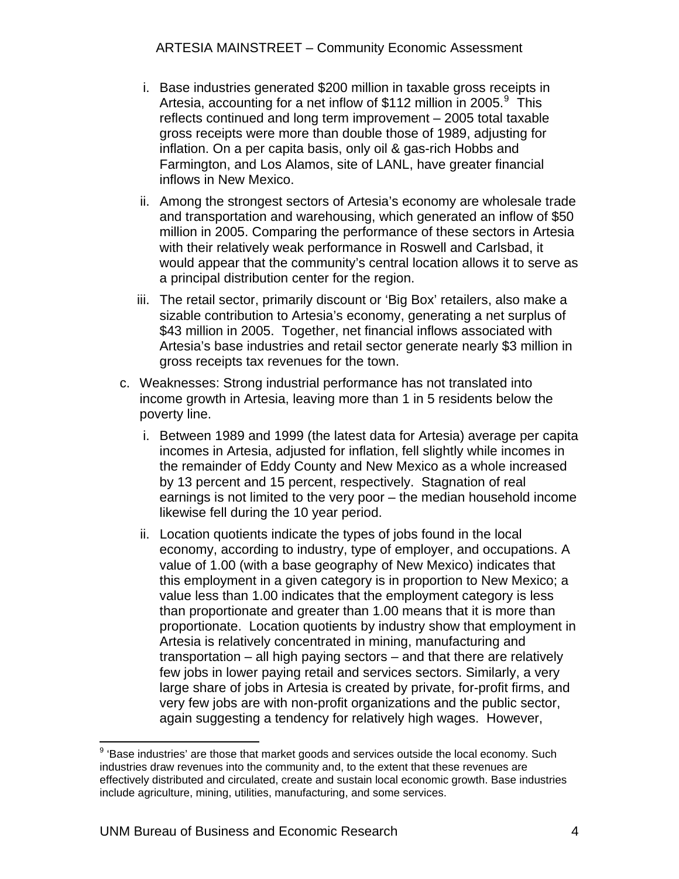- i. Base industries generated \$200 million in taxable gross receipts in Artesia, accounting for a net inflow of \$112 million in 2005. $9$  This reflects continued and long term improvement – 2005 total taxable gross receipts were more than double those of 1989, adjusting for inflation. On a per capita basis, only oil & gas-rich Hobbs and Farmington, and Los Alamos, site of LANL, have greater financial inflows in New Mexico.
- ii. Among the strongest sectors of Artesia's economy are wholesale trade and transportation and warehousing, which generated an inflow of \$50 million in 2005. Comparing the performance of these sectors in Artesia with their relatively weak performance in Roswell and Carlsbad, it would appear that the community's central location allows it to serve as a principal distribution center for the region.
- iii. The retail sector, primarily discount or 'Big Box' retailers, also make a sizable contribution to Artesia's economy, generating a net surplus of \$43 million in 2005. Together, net financial inflows associated with Artesia's base industries and retail sector generate nearly \$3 million in gross receipts tax revenues for the town.
- c. Weaknesses: Strong industrial performance has not translated into income growth in Artesia, leaving more than 1 in 5 residents below the poverty line.
	- i. Between 1989 and 1999 (the latest data for Artesia) average per capita incomes in Artesia, adjusted for inflation, fell slightly while incomes in the remainder of Eddy County and New Mexico as a whole increased by 13 percent and 15 percent, respectively. Stagnation of real earnings is not limited to the very poor – the median household income likewise fell during the 10 year period.
	- ii. Location quotients indicate the types of jobs found in the local economy, according to industry, type of employer, and occupations. A value of 1.00 (with a base geography of New Mexico) indicates that this employment in a given category is in proportion to New Mexico; a value less than 1.00 indicates that the employment category is less than proportionate and greater than 1.00 means that it is more than proportionate. Location quotients by industry show that employment in Artesia is relatively concentrated in mining, manufacturing and transportation – all high paying sectors – and that there are relatively few jobs in lower paying retail and services sectors. Similarly, a very large share of jobs in Artesia is created by private, for-profit firms, and very few jobs are with non-profit organizations and the public sector, again suggesting a tendency for relatively high wages. However,

<span id="page-7-0"></span>erthandors industries' are those that market goods and services outside the local economy. Such say that the such industries draw revenues into the community and, to the extent that these revenues are effectively distributed and circulated, create and sustain local economic growth. Base industries include agriculture, mining, utilities, manufacturing, and some services.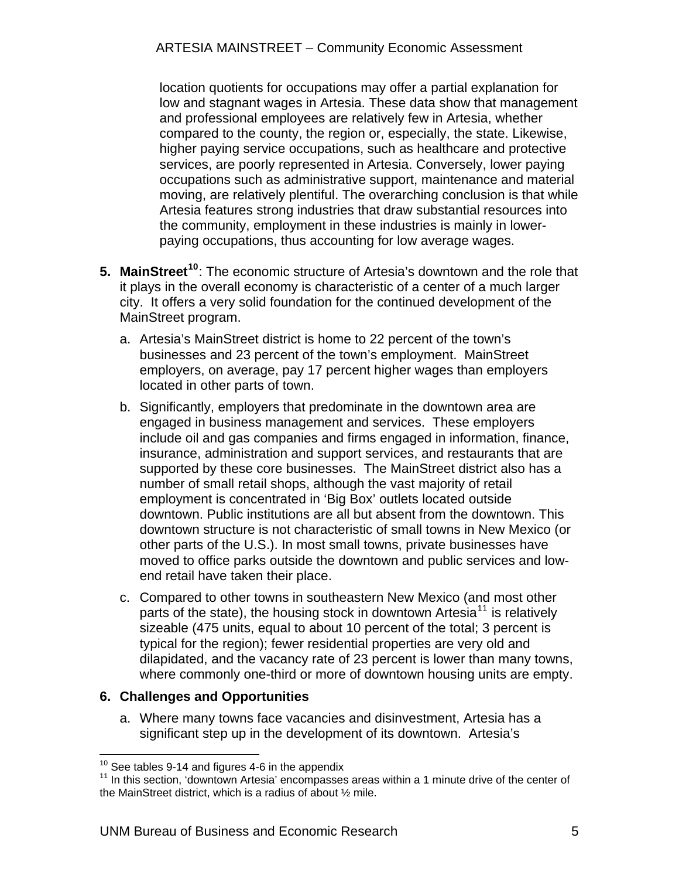<span id="page-8-0"></span>location quotients for occupations may offer a partial explanation for low and stagnant wages in Artesia. These data show that management and professional employees are relatively few in Artesia, whether compared to the county, the region or, especially, the state. Likewise, higher paying service occupations, such as healthcare and protective services, are poorly represented in Artesia. Conversely, lower paying occupations such as administrative support, maintenance and material moving, are relatively plentiful. The overarching conclusion is that while Artesia features strong industries that draw substantial resources into the community, employment in these industries is mainly in lowerpaying occupations, thus accounting for low average wages.

- **5. MainStreet[10](#page-8-1)**: The economic structure of Artesia's downtown and the role that it plays in the overall economy is characteristic of a center of a much larger city. It offers a very solid foundation for the continued development of the MainStreet program.
	- a. Artesia's MainStreet district is home to 22 percent of the town's businesses and 23 percent of the town's employment. MainStreet employers, on average, pay 17 percent higher wages than employers located in other parts of town.
	- b. Significantly, employers that predominate in the downtown area are engaged in business management and services. These employers include oil and gas companies and firms engaged in information, finance, insurance, administration and support services, and restaurants that are supported by these core businesses. The MainStreet district also has a number of small retail shops, although the vast majority of retail employment is concentrated in 'Big Box' outlets located outside downtown. Public institutions are all but absent from the downtown. This downtown structure is not characteristic of small towns in New Mexico (or other parts of the U.S.). In most small towns, private businesses have moved to office parks outside the downtown and public services and lowend retail have taken their place.
	- c. Compared to other towns in southeastern New Mexico (and most other parts of the state), the housing stock in downtown Artesia<sup>[11](#page-8-2)</sup> is relatively sizeable (475 units, equal to about 10 percent of the total; 3 percent is typical for the region); fewer residential properties are very old and dilapidated, and the vacancy rate of 23 percent is lower than many towns, where commonly one-third or more of downtown housing units are empty.

#### **6. Challenges and Opportunities**

a. Where many towns face vacancies and disinvestment, Artesia has a significant step up in the development of its downtown. Artesia's

 $10$  See tables 9-14 and figures 4-6 in the appendix

<span id="page-8-2"></span><span id="page-8-1"></span><sup>&</sup>lt;sup>11</sup> In this section, 'downtown Artesia' encompasses areas within a 1 minute drive of the center of the MainStreet district, which is a radius of about ½ mile.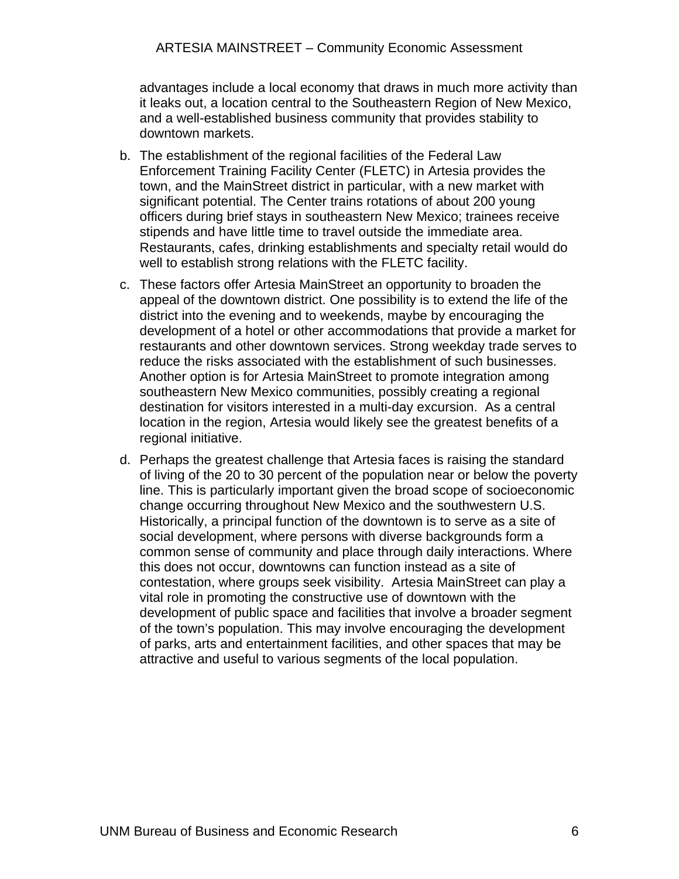advantages include a local economy that draws in much more activity than it leaks out, a location central to the Southeastern Region of New Mexico, and a well-established business community that provides stability to downtown markets.

- b. The establishment of the regional facilities of the Federal Law Enforcement Training Facility Center (FLETC) in Artesia provides the town, and the MainStreet district in particular, with a new market with significant potential. The Center trains rotations of about 200 young officers during brief stays in southeastern New Mexico; trainees receive stipends and have little time to travel outside the immediate area. Restaurants, cafes, drinking establishments and specialty retail would do well to establish strong relations with the FLETC facility.
- c. These factors offer Artesia MainStreet an opportunity to broaden the appeal of the downtown district. One possibility is to extend the life of the district into the evening and to weekends, maybe by encouraging the development of a hotel or other accommodations that provide a market for restaurants and other downtown services. Strong weekday trade serves to reduce the risks associated with the establishment of such businesses. Another option is for Artesia MainStreet to promote integration among southeastern New Mexico communities, possibly creating a regional destination for visitors interested in a multi-day excursion. As a central location in the region, Artesia would likely see the greatest benefits of a regional initiative.
- d. Perhaps the greatest challenge that Artesia faces is raising the standard of living of the 20 to 30 percent of the population near or below the poverty line. This is particularly important given the broad scope of socioeconomic change occurring throughout New Mexico and the southwestern U.S. Historically, a principal function of the downtown is to serve as a site of social development, where persons with diverse backgrounds form a common sense of community and place through daily interactions. Where this does not occur, downtowns can function instead as a site of contestation, where groups seek visibility. Artesia MainStreet can play a vital role in promoting the constructive use of downtown with the development of public space and facilities that involve a broader segment of the town's population. This may involve encouraging the development of parks, arts and entertainment facilities, and other spaces that may be attractive and useful to various segments of the local population.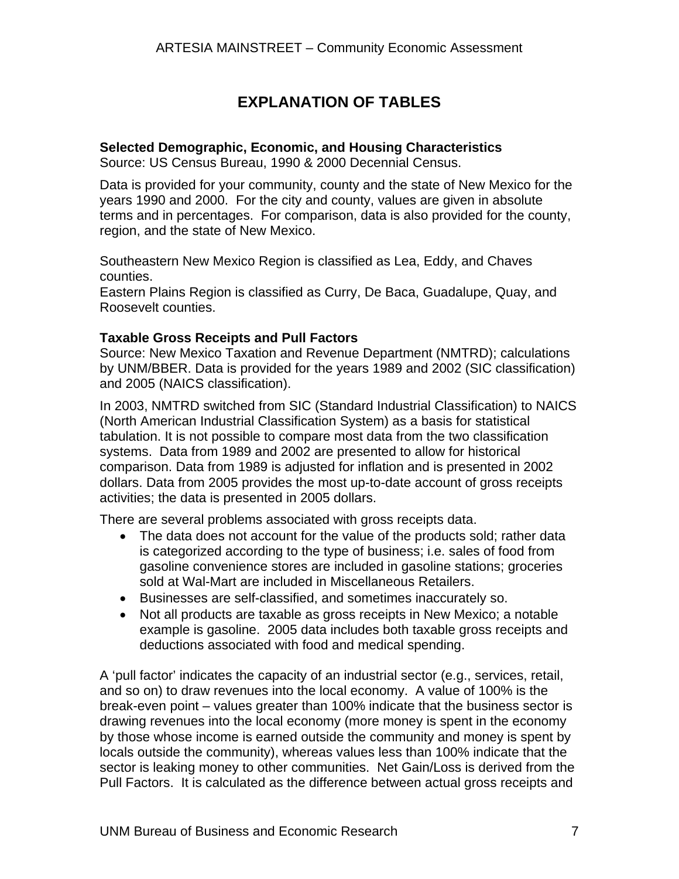# **EXPLANATION OF TABLES**

#### <span id="page-10-0"></span>**Selected Demographic, Economic, and Housing Characteristics**

Source: US Census Bureau, 1990 & 2000 Decennial Census.

Data is provided for your community, county and the state of New Mexico for the years 1990 and 2000. For the city and county, values are given in absolute terms and in percentages. For comparison, data is also provided for the county, region, and the state of New Mexico.

Southeastern New Mexico Region is classified as Lea, Eddy, and Chaves counties.

Eastern Plains Region is classified as Curry, De Baca, Guadalupe, Quay, and Roosevelt counties.

#### **Taxable Gross Receipts and Pull Factors**

Source: New Mexico Taxation and Revenue Department (NMTRD); calculations by UNM/BBER. Data is provided for the years 1989 and 2002 (SIC classification) and 2005 (NAICS classification).

In 2003, NMTRD switched from SIC (Standard Industrial Classification) to NAICS (North American Industrial Classification System) as a basis for statistical tabulation. It is not possible to compare most data from the two classification systems. Data from 1989 and 2002 are presented to allow for historical comparison. Data from 1989 is adjusted for inflation and is presented in 2002 dollars. Data from 2005 provides the most up-to-date account of gross receipts activities; the data is presented in 2005 dollars.

There are several problems associated with gross receipts data.

- The data does not account for the value of the products sold; rather data is categorized according to the type of business; i.e. sales of food from gasoline convenience stores are included in gasoline stations; groceries sold at Wal-Mart are included in Miscellaneous Retailers.
- Businesses are self-classified, and sometimes inaccurately so.
- Not all products are taxable as gross receipts in New Mexico; a notable example is gasoline. 2005 data includes both taxable gross receipts and deductions associated with food and medical spending.

A 'pull factor' indicates the capacity of an industrial sector (e.g., services, retail, and so on) to draw revenues into the local economy. A value of 100% is the break-even point – values greater than 100% indicate that the business sector is drawing revenues into the local economy (more money is spent in the economy by those whose income is earned outside the community and money is spent by locals outside the community), whereas values less than 100% indicate that the sector is leaking money to other communities. Net Gain/Loss is derived from the Pull Factors. It is calculated as the difference between actual gross receipts and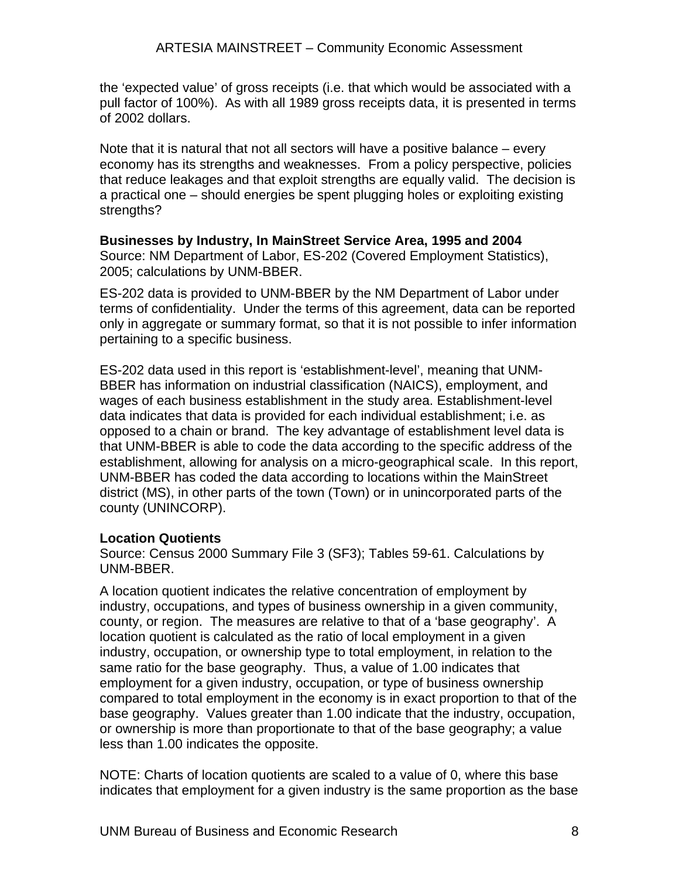the 'expected value' of gross receipts (i.e. that which would be associated with a pull factor of 100%). As with all 1989 gross receipts data, it is presented in terms of 2002 dollars.

Note that it is natural that not all sectors will have a positive balance – every economy has its strengths and weaknesses. From a policy perspective, policies that reduce leakages and that exploit strengths are equally valid. The decision is a practical one – should energies be spent plugging holes or exploiting existing strengths?

**Businesses by Industry, In MainStreet Service Area, 1995 and 2004**  Source: NM Department of Labor, ES-202 (Covered Employment Statistics), 2005; calculations by UNM-BBER.

ES-202 data is provided to UNM-BBER by the NM Department of Labor under terms of confidentiality. Under the terms of this agreement, data can be reported only in aggregate or summary format, so that it is not possible to infer information pertaining to a specific business.

ES-202 data used in this report is 'establishment-level', meaning that UNM-BBER has information on industrial classification (NAICS), employment, and wages of each business establishment in the study area. Establishment-level data indicates that data is provided for each individual establishment; i.e. as opposed to a chain or brand. The key advantage of establishment level data is that UNM-BBER is able to code the data according to the specific address of the establishment, allowing for analysis on a micro-geographical scale. In this report, UNM-BBER has coded the data according to locations within the MainStreet district (MS), in other parts of the town (Town) or in unincorporated parts of the county (UNINCORP).

#### **Location Quotients**

Source: Census 2000 Summary File 3 (SF3); Tables 59-61. Calculations by UNM-BBER.

A location quotient indicates the relative concentration of employment by industry, occupations, and types of business ownership in a given community, county, or region. The measures are relative to that of a 'base geography'. A location quotient is calculated as the ratio of local employment in a given industry, occupation, or ownership type to total employment, in relation to the same ratio for the base geography. Thus, a value of 1.00 indicates that employment for a given industry, occupation, or type of business ownership compared to total employment in the economy is in exact proportion to that of the base geography. Values greater than 1.00 indicate that the industry, occupation, or ownership is more than proportionate to that of the base geography; a value less than 1.00 indicates the opposite.

NOTE: Charts of location quotients are scaled to a value of 0, where this base indicates that employment for a given industry is the same proportion as the base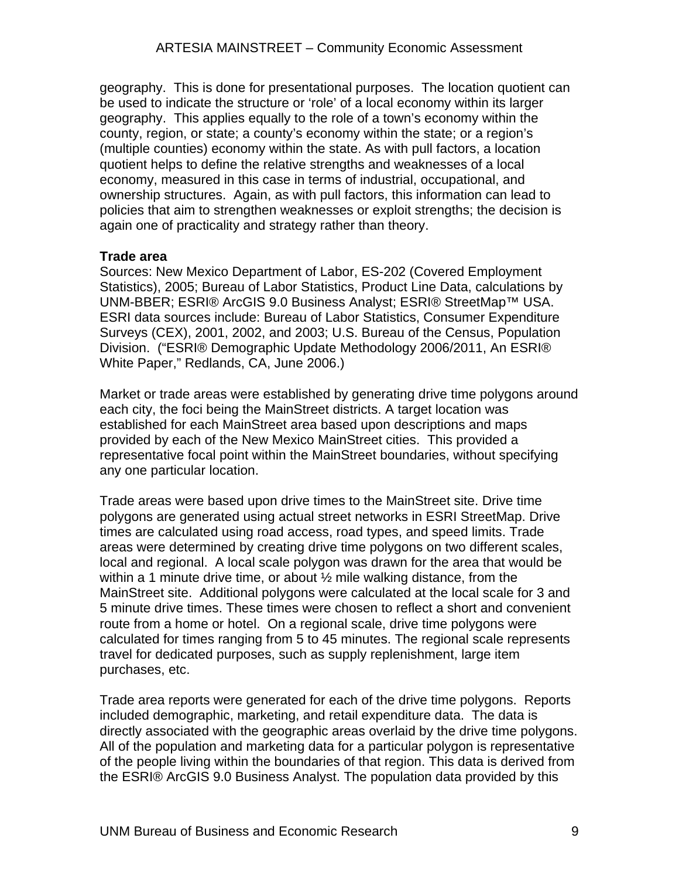geography. This is done for presentational purposes. The location quotient can be used to indicate the structure or 'role' of a local economy within its larger geography. This applies equally to the role of a town's economy within the county, region, or state; a county's economy within the state; or a region's (multiple counties) economy within the state. As with pull factors, a location quotient helps to define the relative strengths and weaknesses of a local economy, measured in this case in terms of industrial, occupational, and ownership structures. Again, as with pull factors, this information can lead to policies that aim to strengthen weaknesses or exploit strengths; the decision is again one of practicality and strategy rather than theory.

#### **Trade area**

Sources: New Mexico Department of Labor, ES-202 (Covered Employment Statistics), 2005; Bureau of Labor Statistics, Product Line Data, calculations by UNM-BBER; ESRI® ArcGIS 9.0 Business Analyst; ESRI® StreetMap™ USA. ESRI data sources include: Bureau of Labor Statistics, Consumer Expenditure Surveys (CEX), 2001, 2002, and 2003; U.S. Bureau of the Census, Population Division. ("ESRI® Demographic Update Methodology 2006/2011, An ESRI® White Paper," Redlands, CA, June 2006.)

Market or trade areas were established by generating drive time polygons around each city, the foci being the MainStreet districts. A target location was established for each MainStreet area based upon descriptions and maps provided by each of the New Mexico MainStreet cities. This provided a representative focal point within the MainStreet boundaries, without specifying any one particular location.

Trade areas were based upon drive times to the MainStreet site. Drive time polygons are generated using actual street networks in ESRI StreetMap. Drive times are calculated using road access, road types, and speed limits. Trade areas were determined by creating drive time polygons on two different scales, local and regional. A local scale polygon was drawn for the area that would be within a 1 minute drive time, or about  $\frac{1}{2}$  mile walking distance, from the MainStreet site. Additional polygons were calculated at the local scale for 3 and 5 minute drive times. These times were chosen to reflect a short and convenient route from a home or hotel. On a regional scale, drive time polygons were calculated for times ranging from 5 to 45 minutes. The regional scale represents travel for dedicated purposes, such as supply replenishment, large item purchases, etc.

Trade area reports were generated for each of the drive time polygons. Reports included demographic, marketing, and retail expenditure data. The data is directly associated with the geographic areas overlaid by the drive time polygons. All of the population and marketing data for a particular polygon is representative of the people living within the boundaries of that region. This data is derived from the ESRI® ArcGIS 9.0 Business Analyst. The population data provided by this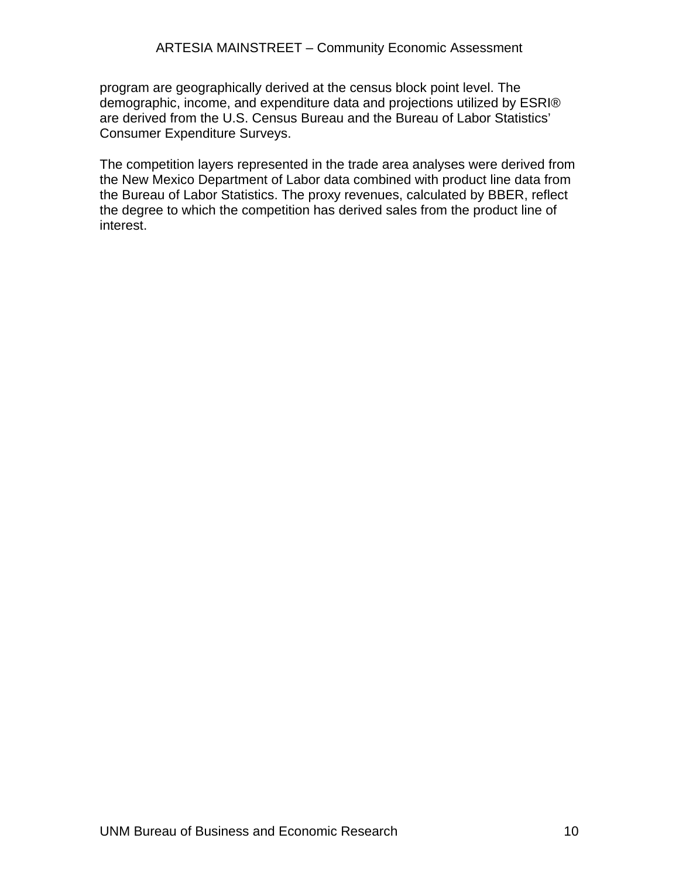program are geographically derived at the census block point level. The demographic, income, and expenditure data and projections utilized by ESRI® are derived from the U.S. Census Bureau and the Bureau of Labor Statistics' Consumer Expenditure Surveys.

The competition layers represented in the trade area analyses were derived from the New Mexico Department of Labor data combined with product line data from the Bureau of Labor Statistics. The proxy revenues, calculated by BBER, reflect the degree to which the competition has derived sales from the product line of interest.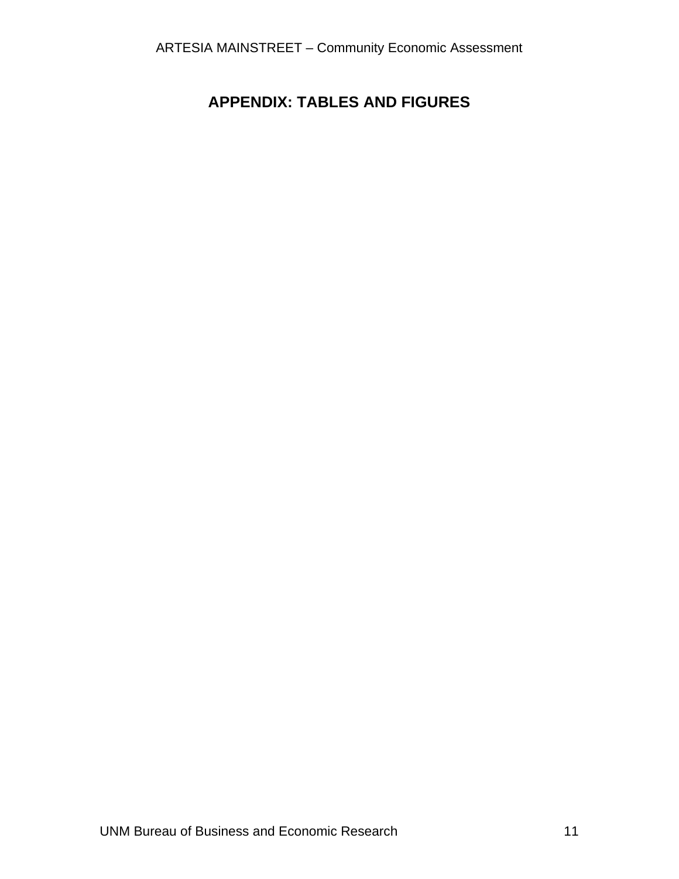# <span id="page-14-0"></span>**APPENDIX: TABLES AND FIGURES**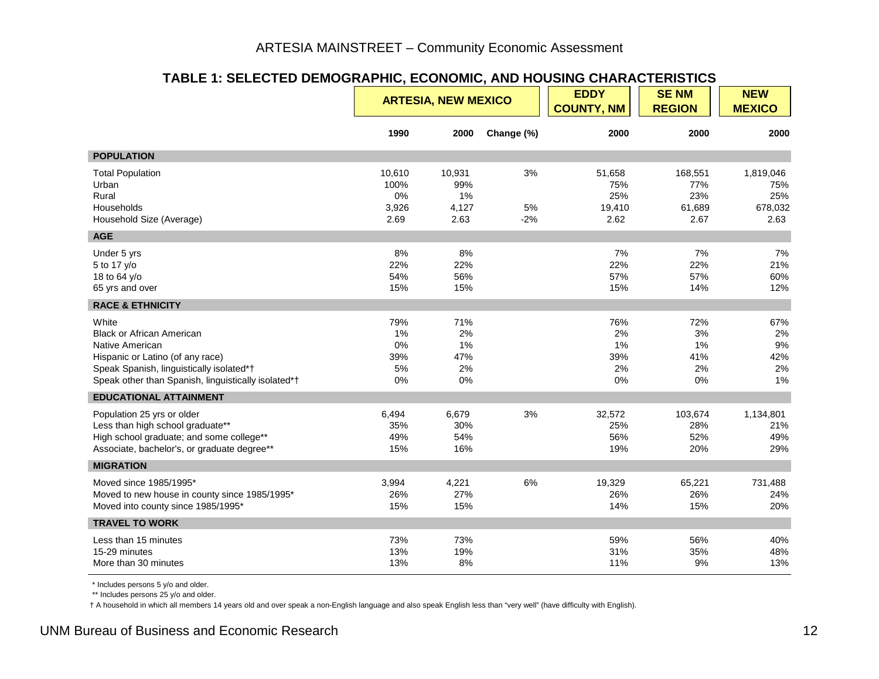#### **TABLE 1: SELECTED DEMOGRAPHIC, ECONOMIC, AND HOUSING CHARACTERISTICS**

|                                                                                                                                                                                                     | <b>ARTESIA, NEW MEXICO</b><br><b>COUNTY, NM</b> |                                      | <b>EDDY</b>       | <b>SENM</b><br><b>REGION</b>           | <b>NEW</b><br><b>MEXICO</b>             |                                            |
|-----------------------------------------------------------------------------------------------------------------------------------------------------------------------------------------------------|-------------------------------------------------|--------------------------------------|-------------------|----------------------------------------|-----------------------------------------|--------------------------------------------|
|                                                                                                                                                                                                     | 1990                                            | 2000                                 | Change (%)        | 2000                                   | 2000                                    | 2000                                       |
| <b>POPULATION</b>                                                                                                                                                                                   |                                                 |                                      |                   |                                        |                                         |                                            |
| <b>Total Population</b><br>Urban<br>Rural<br>Households<br>Household Size (Average)                                                                                                                 | 10,610<br>100%<br>0%<br>3,926<br>2.69           | 10,931<br>99%<br>1%<br>4,127<br>2.63 | 3%<br>5%<br>$-2%$ | 51,658<br>75%<br>25%<br>19,410<br>2.62 | 168,551<br>77%<br>23%<br>61,689<br>2.67 | 1,819,046<br>75%<br>25%<br>678,032<br>2.63 |
| <b>AGE</b>                                                                                                                                                                                          |                                                 |                                      |                   |                                        |                                         |                                            |
| Under 5 yrs<br>5 to 17 y/o<br>18 to 64 y/o<br>65 yrs and over                                                                                                                                       | 8%<br>22%<br>54%<br>15%                         | 8%<br>22%<br>56%<br>15%              |                   | 7%<br>22%<br>57%<br>15%                | 7%<br>22%<br>57%<br>14%                 | 7%<br>21%<br>60%<br>12%                    |
| <b>RACE &amp; ETHNICITY</b>                                                                                                                                                                         |                                                 |                                      |                   |                                        |                                         |                                            |
| White<br><b>Black or African American</b><br>Native American<br>Hispanic or Latino (of any race)<br>Speak Spanish, linguistically isolated*†<br>Speak other than Spanish, linguistically isolated*† | 79%<br>1%<br>0%<br>39%<br>5%<br>0%              | 71%<br>2%<br>1%<br>47%<br>2%<br>0%   |                   | 76%<br>2%<br>1%<br>39%<br>2%<br>0%     | 72%<br>3%<br>1%<br>41%<br>2%<br>0%      | 67%<br>2%<br>9%<br>42%<br>2%<br>1%         |
| <b>EDUCATIONAL ATTAINMENT</b>                                                                                                                                                                       |                                                 |                                      |                   |                                        |                                         |                                            |
| Population 25 yrs or older<br>Less than high school graduate**<br>High school graduate; and some college**<br>Associate, bachelor's, or graduate degree**                                           | 6,494<br>35%<br>49%<br>15%                      | 6,679<br>30%<br>54%<br>16%           | 3%                | 32,572<br>25%<br>56%<br>19%            | 103,674<br>28%<br>52%<br>20%            | 1,134,801<br>21%<br>49%<br>29%             |
| <b>MIGRATION</b>                                                                                                                                                                                    |                                                 |                                      |                   |                                        |                                         |                                            |
| Moved since 1985/1995*<br>Moved to new house in county since 1985/1995*<br>Moved into county since 1985/1995*                                                                                       | 3,994<br>26%<br>15%                             | 4,221<br>27%<br>15%                  | 6%                | 19,329<br>26%<br>14%                   | 65,221<br>26%<br>15%                    | 731,488<br>24%<br>20%                      |
| <b>TRAVEL TO WORK</b>                                                                                                                                                                               |                                                 |                                      |                   |                                        |                                         |                                            |
| Less than 15 minutes<br>15-29 minutes<br>More than 30 minutes                                                                                                                                       | 73%<br>13%<br>13%                               | 73%<br>19%<br>8%                     |                   | 59%<br>31%<br>11%                      | 56%<br>35%<br>9%                        | 40%<br>48%<br>13%                          |

\* Includes persons 5 y/o and older.

\*\* Includes persons 25 y/o and older.

<span id="page-15-0"></span>† A household in which all members 14 years old and over speak a non-English language and also speak English less than "very well" (have difficulty with English).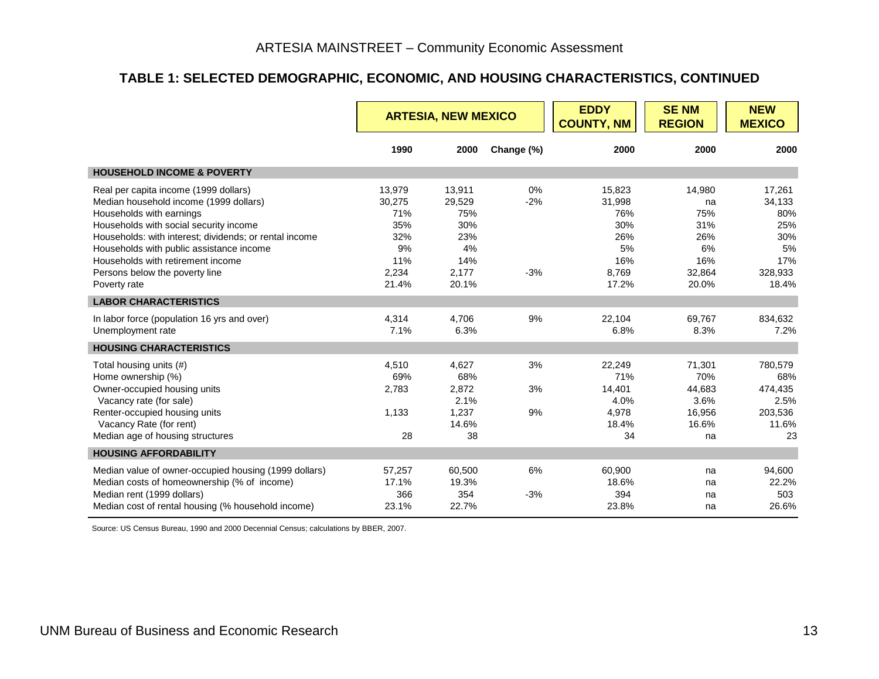#### **TABLE 1: SELECTED DEMOGRAPHIC, ECONOMIC, AND HOUSING CHARACTERISTICS, CONTINUED**

|                                                                                                                                                                                                                                                                                                                                                    | <b>ARTESIA, NEW MEXICO</b>                                           |                                                                      |                      | <b>EDDY</b><br><b>COUNTY, NM</b>                                     | <b>SENM</b><br><b>REGION</b>                                      | <b>NEW</b><br><b>MEXICO</b>                                            |
|----------------------------------------------------------------------------------------------------------------------------------------------------------------------------------------------------------------------------------------------------------------------------------------------------------------------------------------------------|----------------------------------------------------------------------|----------------------------------------------------------------------|----------------------|----------------------------------------------------------------------|-------------------------------------------------------------------|------------------------------------------------------------------------|
|                                                                                                                                                                                                                                                                                                                                                    | 1990                                                                 | 2000                                                                 | Change (%)           | 2000                                                                 | 2000                                                              | 2000                                                                   |
| <b>HOUSEHOLD INCOME &amp; POVERTY</b>                                                                                                                                                                                                                                                                                                              |                                                                      |                                                                      |                      |                                                                      |                                                                   |                                                                        |
| Real per capita income (1999 dollars)<br>Median household income (1999 dollars)<br>Households with earnings<br>Households with social security income<br>Households: with interest; dividends; or rental income<br>Households with public assistance income<br>Households with retirement income<br>Persons below the poverty line<br>Poverty rate | 13,979<br>30,275<br>71%<br>35%<br>32%<br>9%<br>11%<br>2,234<br>21.4% | 13,911<br>29,529<br>75%<br>30%<br>23%<br>4%<br>14%<br>2,177<br>20.1% | 0%<br>$-2%$<br>$-3%$ | 15,823<br>31,998<br>76%<br>30%<br>26%<br>5%<br>16%<br>8,769<br>17.2% | 14,980<br>na<br>75%<br>31%<br>26%<br>6%<br>16%<br>32,864<br>20.0% | 17,261<br>34,133<br>80%<br>25%<br>30%<br>5%<br>17%<br>328,933<br>18.4% |
| <b>LABOR CHARACTERISTICS</b>                                                                                                                                                                                                                                                                                                                       |                                                                      |                                                                      |                      |                                                                      |                                                                   |                                                                        |
| In labor force (population 16 yrs and over)<br>Unemployment rate                                                                                                                                                                                                                                                                                   | 4.314<br>7.1%                                                        | 4.706<br>6.3%                                                        | 9%                   | 22.104<br>6.8%                                                       | 69.767<br>8.3%                                                    | 834.632<br>7.2%                                                        |
| <b>HOUSING CHARACTERISTICS</b>                                                                                                                                                                                                                                                                                                                     |                                                                      |                                                                      |                      |                                                                      |                                                                   |                                                                        |
| Total housing units (#)<br>Home ownership (%)<br>Owner-occupied housing units<br>Vacancy rate (for sale)<br>Renter-occupied housing units<br>Vacancy Rate (for rent)<br>Median age of housing structures                                                                                                                                           | 4,510<br>69%<br>2,783<br>1,133<br>28                                 | 4,627<br>68%<br>2,872<br>2.1%<br>1,237<br>14.6%<br>38                | 3%<br>3%<br>9%       | 22,249<br>71%<br>14,401<br>4.0%<br>4,978<br>18.4%<br>34              | 71,301<br>70%<br>44,683<br>3.6%<br>16,956<br>16.6%<br>na          | 780,579<br>68%<br>474,435<br>2.5%<br>203,536<br>11.6%<br>23            |
| <b>HOUSING AFFORDABILITY</b>                                                                                                                                                                                                                                                                                                                       |                                                                      |                                                                      |                      |                                                                      |                                                                   |                                                                        |
| Median value of owner-occupied housing (1999 dollars)<br>Median costs of homeownership (% of income)<br>Median rent (1999 dollars)<br>Median cost of rental housing (% household income)                                                                                                                                                           | 57,257<br>17.1%<br>366<br>23.1%                                      | 60,500<br>19.3%<br>354<br>22.7%                                      | 6%<br>$-3%$          | 60,900<br>18.6%<br>394<br>23.8%                                      | na<br>na<br>na<br>na                                              | 94,600<br>22.2%<br>503<br>26.6%                                        |

Source: US Census Bureau, 1990 and 2000 Decennial Census; calculations by BBER, 2007.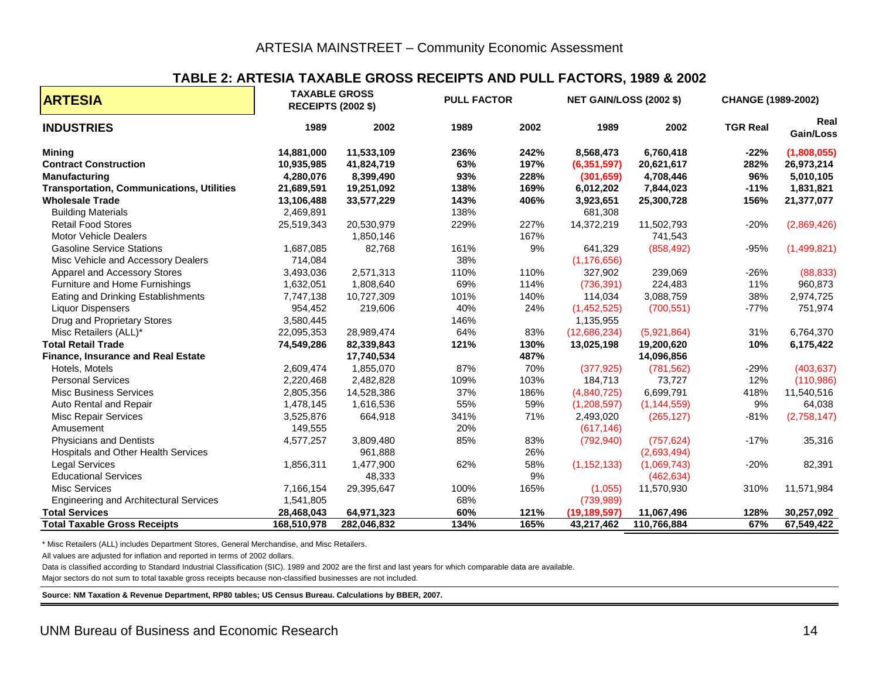#### **TABLE 2: ARTESIA TAXABLE GROSS RECEIPTS AND PULL FACTORS, 1989 & 2002**

| <b>ARTESIA</b>                                   | <b>TAXABLE GROSS</b><br><b>RECEIPTS (2002 \$)</b> |             |      | <b>PULL FACTOR</b><br><b>NET GAIN/LOSS (2002 \$)</b> |                |               | CHANGE (1989-2002) |                   |
|--------------------------------------------------|---------------------------------------------------|-------------|------|------------------------------------------------------|----------------|---------------|--------------------|-------------------|
| <b>INDUSTRIES</b>                                | 1989                                              | 2002        | 1989 | 2002                                                 | 1989           | 2002          | <b>TGR Real</b>    | Real<br>Gain/Loss |
| <b>Mining</b>                                    | 14,881,000                                        | 11,533,109  | 236% | 242%                                                 | 8,568,473      | 6,760,418     | $-22%$             | (1,808,055)       |
| <b>Contract Construction</b>                     | 10,935,985                                        | 41,824,719  | 63%  | 197%                                                 | (6, 351, 597)  | 20,621,617    | 282%               | 26,973,214        |
| <b>Manufacturing</b>                             | 4,280,076                                         | 8,399,490   | 93%  | 228%                                                 | (301, 659)     | 4,708,446     | 96%                | 5,010,105         |
| <b>Transportation, Communications, Utilities</b> | 21,689,591                                        | 19,251,092  | 138% | 169%                                                 | 6,012,202      | 7,844,023     | $-11%$             | 1,831,821         |
| <b>Wholesale Trade</b>                           | 13,106,488                                        | 33,577,229  | 143% | 406%                                                 | 3,923,651      | 25,300,728    | 156%               | 21,377,077        |
| <b>Building Materials</b>                        | 2,469,891                                         |             | 138% |                                                      | 681,308        |               |                    |                   |
| <b>Retail Food Stores</b>                        | 25,519,343                                        | 20,530,979  | 229% | 227%                                                 | 14,372,219     | 11,502,793    | $-20%$             | (2,869,426)       |
| Motor Vehicle Dealers                            |                                                   | 1,850,146   |      | 167%                                                 |                | 741,543       |                    |                   |
| <b>Gasoline Service Stations</b>                 | 1,687,085                                         | 82,768      | 161% | 9%                                                   | 641,329        | (858, 492)    | $-95%$             | (1,499,821)       |
| Misc Vehicle and Accessory Dealers               | 714,084                                           |             | 38%  |                                                      | (1, 176, 656)  |               |                    |                   |
| Apparel and Accessory Stores                     | 3,493,036                                         | 2,571,313   | 110% | 110%                                                 | 327,902        | 239,069       | $-26%$             | (88, 833)         |
| Furniture and Home Furnishings                   | 1,632,051                                         | 1,808,640   | 69%  | 114%                                                 | (736, 391)     | 224,483       | 11%                | 960,873           |
| Eating and Drinking Establishments               | 7,747,138                                         | 10,727,309  | 101% | 140%                                                 | 114,034        | 3,088,759     | 38%                | 2,974,725         |
| <b>Liquor Dispensers</b>                         | 954,452                                           | 219,606     | 40%  | 24%                                                  | (1,452,525)    | (700, 551)    | $-77%$             | 751,974           |
| Drug and Proprietary Stores                      | 3,580,445                                         |             | 146% |                                                      | 1,135,955      |               |                    |                   |
| Misc Retailers (ALL)*                            | 22,095,353                                        | 28,989,474  | 64%  | 83%                                                  | (12,686,234)   | (5,921,864)   | 31%                | 6,764,370         |
| <b>Total Retail Trade</b>                        | 74,549,286                                        | 82,339,843  | 121% | 130%                                                 | 13,025,198     | 19,200,620    | 10%                | 6,175,422         |
| <b>Finance, Insurance and Real Estate</b>        |                                                   | 17,740,534  |      | 487%                                                 |                | 14,096,856    |                    |                   |
| Hotels, Motels                                   | 2,609,474                                         | 1,855,070   | 87%  | 70%                                                  | (377, 925)     | (781, 562)    | $-29%$             | (403, 637)        |
| <b>Personal Services</b>                         | 2,220,468                                         | 2,482,828   | 109% | 103%                                                 | 184,713        | 73,727        | 12%                | (110, 986)        |
| <b>Misc Business Services</b>                    | 2,805,356                                         | 14,528,386  | 37%  | 186%                                                 | (4,840,725)    | 6,699,791     | 418%               | 11,540,516        |
| Auto Rental and Repair                           | 1,478,145                                         | 1,616,536   | 55%  | 59%                                                  | (1,208,597)    | (1, 144, 559) | 9%                 | 64,038            |
| <b>Misc Repair Services</b>                      | 3,525,876                                         | 664,918     | 341% | 71%                                                  | 2,493,020      | (265, 127)    | $-81%$             | (2,758,147)       |
| Amusement                                        | 149,555                                           |             | 20%  |                                                      | (617, 146)     |               |                    |                   |
| <b>Physicians and Dentists</b>                   | 4,577,257                                         | 3,809,480   | 85%  | 83%                                                  | (792, 940)     | (757, 624)    | $-17%$             | 35,316            |
| Hospitals and Other Health Services              |                                                   | 961,888     |      | 26%                                                  |                | (2,693,494)   |                    |                   |
| <b>Legal Services</b>                            | 1,856,311                                         | 1,477,900   | 62%  | 58%                                                  | (1, 152, 133)  | (1,069,743)   | $-20%$             | 82,391            |
| <b>Educational Services</b>                      |                                                   | 48,333      |      | 9%                                                   |                | (462, 634)    |                    |                   |
| <b>Misc Services</b>                             | 7,166,154                                         | 29,395,647  | 100% | 165%                                                 | (1,055)        | 11,570,930    | 310%               | 11,571,984        |
| <b>Engineering and Architectural Services</b>    | 1,541,805                                         |             | 68%  |                                                      | (739, 989)     |               |                    |                   |
| <b>Total Services</b>                            | 28,468,043                                        | 64,971,323  | 60%  | 121%                                                 | (19, 189, 597) | 11,067,496    | 128%               | 30,257,092        |
| <b>Total Taxable Gross Receipts</b>              | 168,510,978                                       | 282,046,832 | 134% | 165%                                                 | 43,217,462     | 110,766,884   | 67%                | 67,549,422        |

\* Misc Retailers (ALL) includes Department Stores, General Merchandise, and Misc Retailers.

All values are adjusted for inflation and reported in terms of 2002 dollars.

Data is classified according to Standard Industrial Classification (SIC). 1989 and 2002 are the first and last years for which comparable data are available.

Major sectors do not sum to total taxable gross receipts because non-classified businesses are not included.

<span id="page-17-0"></span>**Source: NM Taxation & Revenue Department, RP80 tables; US Census Bureau. Calculations by BBER, 2007.**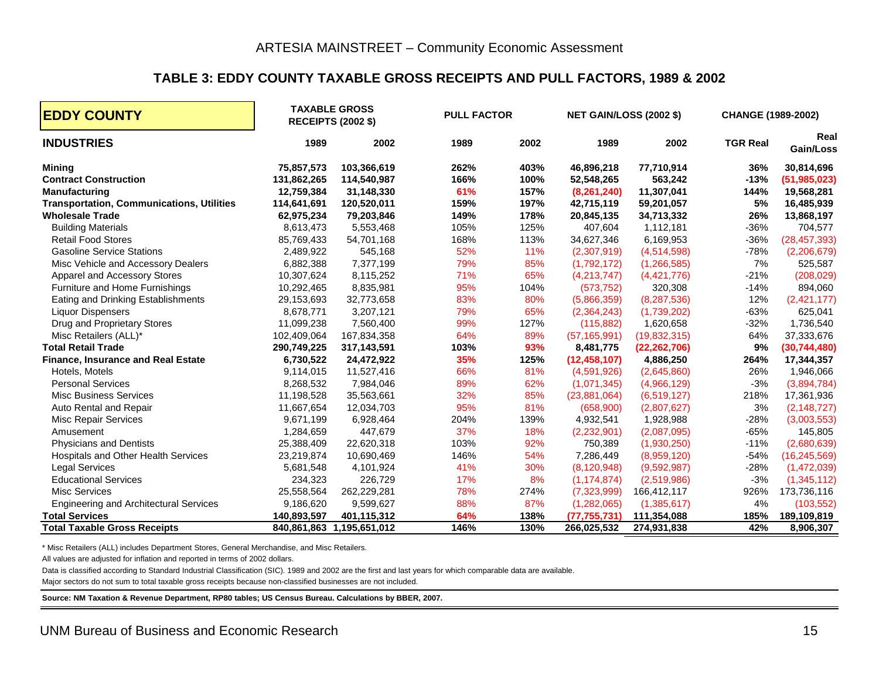#### **TABLE 3: EDDY COUNTY TAXABLE GROSS RECEIPTS AND PULL FACTORS, 1989 & 2002**

| <b>EDDY COUNTY</b>                               |             | <b>TAXABLE GROSS</b><br><b>PULL FACTOR</b><br><b>RECEIPTS (2002 \$)</b> |      |      | <b>NET GAIN/LOSS (2002 \$)</b> |                | CHANGE (1989-2002) |                   |
|--------------------------------------------------|-------------|-------------------------------------------------------------------------|------|------|--------------------------------|----------------|--------------------|-------------------|
| <b>INDUSTRIES</b>                                | 1989        | 2002                                                                    | 1989 | 2002 | 1989                           | 2002           | <b>TGR Real</b>    | Real<br>Gain/Loss |
| <b>Mining</b>                                    | 75,857,573  | 103,366,619                                                             | 262% | 403% | 46,896,218                     | 77,710,914     | 36%                | 30,814,696        |
| <b>Contract Construction</b>                     | 131,862,265 | 114,540,987                                                             | 166% | 100% | 52,548,265                     | 563,242        | $-13%$             | (51, 985, 023)    |
| <b>Manufacturing</b>                             | 12,759,384  | 31,148,330                                                              | 61%  | 157% | (8,261,240)                    | 11,307,041     | 144%               | 19,568,281        |
| <b>Transportation, Communications, Utilities</b> | 114,641,691 | 120,520,011                                                             | 159% | 197% | 42,715,119                     | 59,201,057     | 5%                 | 16,485,939        |
| <b>Wholesale Trade</b>                           | 62,975,234  | 79,203,846                                                              | 149% | 178% | 20,845,135                     | 34,713,332     | 26%                | 13,868,197        |
| <b>Building Materials</b>                        | 8,613,473   | 5,553,468                                                               | 105% | 125% | 407,604                        | 1,112,181      | $-36%$             | 704,577           |
| <b>Retail Food Stores</b>                        | 85,769,433  | 54,701,168                                                              | 168% | 113% | 34,627,346                     | 6,169,953      | $-36%$             | (28, 457, 393)    |
| <b>Gasoline Service Stations</b>                 | 2,489,922   | 545,168                                                                 | 52%  | 11%  | (2,307,919)                    | (4,514,598)    | $-78%$             | (2,206,679)       |
| Misc Vehicle and Accessory Dealers               | 6,882,388   | 7,377,199                                                               | 79%  | 85%  | (1,792,172)                    | (1, 266, 585)  | 7%                 | 525,587           |
| Apparel and Accessory Stores                     | 10,307,624  | 8,115,252                                                               | 71%  | 65%  | (4,213,747)                    | (4,421,776)    | $-21%$             | (208, 029)        |
| Furniture and Home Furnishings                   | 10,292,465  | 8,835,981                                                               | 95%  | 104% | (573, 752)                     | 320,308        | $-14%$             | 894,060           |
| Eating and Drinking Establishments               | 29,153,693  | 32,773,658                                                              | 83%  | 80%  | (5,866,359)                    | (8, 287, 536)  | 12%                | (2,421,177)       |
| <b>Liquor Dispensers</b>                         | 8,678,771   | 3,207,121                                                               | 79%  | 65%  | (2,364,243)                    | (1,739,202)    | $-63%$             | 625,041           |
| Drug and Proprietary Stores                      | 11,099,238  | 7,560,400                                                               | 99%  | 127% | (115, 882)                     | 1,620,658      | $-32%$             | 1,736,540         |
| Misc Retailers (ALL)*                            | 102,409,064 | 167,834,358                                                             | 64%  | 89%  | (57, 165, 991)                 | (19,832,315)   | 64%                | 37,333,676        |
| <b>Total Retail Trade</b>                        | 290,749,225 | 317,143,591                                                             | 103% | 93%  | 8,481,775                      | (22, 262, 706) | 9%                 | (30, 744, 480)    |
| Finance, Insurance and Real Estate               | 6,730,522   | 24,472,922                                                              | 35%  | 125% | (12, 458, 107)                 | 4,886,250      | 264%               | 17,344,357        |
| Hotels, Motels                                   | 9,114,015   | 11,527,416                                                              | 66%  | 81%  | (4,591,926)                    | (2,645,860)    | 26%                | 1,946,066         |
| <b>Personal Services</b>                         | 8,268,532   | 7,984,046                                                               | 89%  | 62%  | (1,071,345)                    | (4,966,129)    | $-3%$              | (3,894,784)       |
| <b>Misc Business Services</b>                    | 11,198,528  | 35,563,661                                                              | 32%  | 85%  | (23,881,064)                   | (6,519,127)    | 218%               | 17,361,936        |
| Auto Rental and Repair                           | 11,667,654  | 12,034,703                                                              | 95%  | 81%  | (658,900)                      | (2,807,627)    | 3%                 | (2, 148, 727)     |
| <b>Misc Repair Services</b>                      | 9,671,199   | 6,928,464                                                               | 204% | 139% | 4,932,541                      | 1,928,988      | $-28%$             | (3,003,553)       |
| Amusement                                        | 1,284,659   | 447,679                                                                 | 37%  | 18%  | (2,232,901)                    | (2,087,095)    | $-65%$             | 145,805           |
| <b>Physicians and Dentists</b>                   | 25,388,409  | 22,620,318                                                              | 103% | 92%  | 750,389                        | (1,930,250)    | $-11%$             | (2,680,639)       |
| Hospitals and Other Health Services              | 23,219,874  | 10,690,469                                                              | 146% | 54%  | 7,286,449                      | (8,959,120)    | $-54%$             | (16, 245, 569)    |
| <b>Legal Services</b>                            | 5,681,548   | 4,101,924                                                               | 41%  | 30%  | (8, 120, 948)                  | (9,592,987)    | $-28%$             | (1,472,039)       |
| <b>Educational Services</b>                      | 234,323     | 226,729                                                                 | 17%  | 8%   | (1, 174, 874)                  | (2,519,986)    | $-3%$              | (1,345,112)       |
| <b>Misc Services</b>                             | 25,558,564  | 262,229,281                                                             | 78%  | 274% | (7,323,999)                    | 166,412,117    | 926%               | 173,736,116       |
| <b>Engineering and Architectural Services</b>    | 9,186,620   | 9,599,627                                                               | 88%  | 87%  | (1, 282, 065)                  | (1,385,617)    | 4%                 | (103, 552)        |
| <b>Total Services</b>                            | 140,893,597 | 401,115,312                                                             | 64%  | 138% | (77, 755, 731)                 | 111,354,088    | 185%               | 189,109,819       |
| <b>Total Taxable Gross Receipts</b>              | 840,861,863 | 1,195,651,012                                                           | 146% | 130% | 266,025,532                    | 274,931,838    | 42%                | 8,906,307         |

\* Misc Retailers (ALL) includes Department Stores, General Merchandise, and Misc Retailers.

All values are adjusted for inflation and reported in terms of 2002 dollars.

Data is classified according to Standard Industrial Classification (SIC). 1989 and 2002 are the first and last years for which comparable data are available.

Major sectors do not sum to total taxable gross receipts because non-classified businesses are not included.

<span id="page-18-0"></span>**Source: NM Taxation & Revenue Department, RP80 tables; US Census Bureau. Calculations by BBER, 2007.**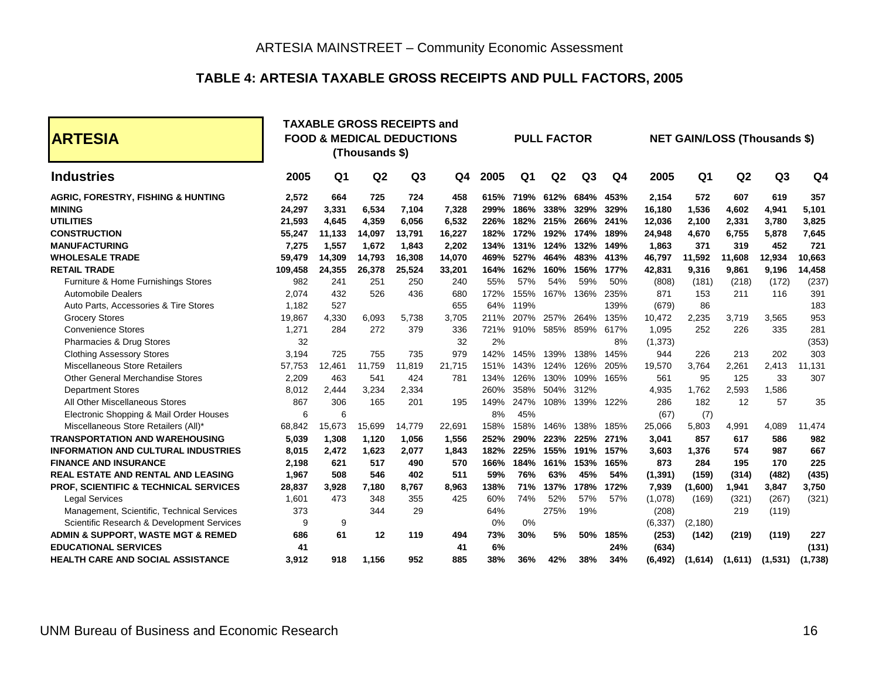#### **TABLE 4: ARTESIA TAXABLE GROSS RECEIPTS AND PULL FACTORS, 2005**

<span id="page-19-0"></span>

| <b>ARTESIA</b>                                |         |                | <b>TAXABLE GROSS RECEIPTS and</b><br><b>FOOD &amp; MEDICAL DEDUCTIONS</b><br><b>PULL FACTOR</b><br><b>NET GAIN/LOSS (Thousands \$)</b><br>(Thousands \$) |                |        |      |                |                |                |                |          |                |         |         |                |
|-----------------------------------------------|---------|----------------|----------------------------------------------------------------------------------------------------------------------------------------------------------|----------------|--------|------|----------------|----------------|----------------|----------------|----------|----------------|---------|---------|----------------|
| <b>Industries</b>                             | 2005    | Q <sub>1</sub> | Q <sub>2</sub>                                                                                                                                           | Q <sub>3</sub> | Q4     | 2005 | Q <sub>1</sub> | Q <sub>2</sub> | Q <sub>3</sub> | Q <sub>4</sub> | 2005     | Q <sub>1</sub> | Q2      | Q3      | Q <sub>4</sub> |
| <b>AGRIC, FORESTRY, FISHING &amp; HUNTING</b> | 2,572   | 664            | 725                                                                                                                                                      | 724            | 458    | 615% | 719%           | 612%           | 684%           | 453%           | 2,154    | 572            | 607     | 619     | 357            |
| <b>MINING</b>                                 | 24,297  | 3,331          | 6,534                                                                                                                                                    | 7.104          | 7,328  | 299% | 186%           | 338%           | 329%           | 329%           | 16,180   | 1,536          | 4,602   | 4,941   | 5,101          |
| <b>UTILITIES</b>                              | 21,593  | 4,645          | 4,359                                                                                                                                                    | 6,056          | 6,532  | 226% | 182%           | 215%           | 266%           | 241%           | 12,036   | 2,100          | 2,331   | 3,780   | 3,825          |
| <b>CONSTRUCTION</b>                           | 55,247  | 11,133         | 14,097                                                                                                                                                   | 13,791         | 16,227 | 182% | 172%           | 192%           | 174%           | 189%           | 24,948   | 4,670          | 6,755   | 5,878   | 7,645          |
| <b>MANUFACTURING</b>                          | 7.275   | 1,557          | 1,672                                                                                                                                                    | 1,843          | 2,202  | 134% | 131%           | 124%           | 132%           | 149%           | 1,863    | 371            | 319     | 452     | 721            |
| <b>WHOLESALE TRADE</b>                        | 59,479  | 14,309         | 14,793                                                                                                                                                   | 16,308         | 14,070 | 469% | 527%           | 464%           | 483%           | 413%           | 46,797   | 11,592         | 11,608  | 12,934  | 10,663         |
| <b>RETAIL TRADE</b>                           | 109,458 | 24,355         | 26,378                                                                                                                                                   | 25,524         | 33,201 | 164% | 162%           | 160%           | 156%           | 177%           | 42,831   | 9,316          | 9,861   | 9,196   | 14,458         |
| Furniture & Home Furnishings Stores           | 982     | 241            | 251                                                                                                                                                      | 250            | 240    | 55%  | 57%            | 54%            | 59%            | 50%            | (808)    | (181)          | (218)   | (172)   | (237)          |
| <b>Automobile Dealers</b>                     | 2.074   | 432            | 526                                                                                                                                                      | 436            | 680    | 172% | 155%           | 167%           | 136%           | 235%           | 871      | 153            | 211     | 116     | 391            |
| Auto Parts, Accessories & Tire Stores         | 1,182   | 527            |                                                                                                                                                          |                | 655    | 64%  | 119%           |                |                | 139%           | (679)    | 86             |         |         | 183            |
| <b>Grocery Stores</b>                         | 19,867  | 4,330          | 6,093                                                                                                                                                    | 5,738          | 3,705  | 211% | 207%           | 257%           | 264%           | 135%           | 10,472   | 2,235          | 3,719   | 3,565   | 953            |
| <b>Convenience Stores</b>                     | 1.271   | 284            | 272                                                                                                                                                      | 379            | 336    | 721% | 910%           | 585%           | 859%           | 617%           | 1.095    | 252            | 226     | 335     | 281            |
| Pharmacies & Drug Stores                      | 32      |                |                                                                                                                                                          |                | 32     | 2%   |                |                |                | 8%             | (1, 373) |                |         |         | (353)          |
| <b>Clothing Assessory Stores</b>              | 3,194   | 725            | 755                                                                                                                                                      | 735            | 979    | 142% | 145%           | 139%           | 138%           | 145%           | 944      | 226            | 213     | 202     | 303            |
| <b>Miscellaneous Store Retailers</b>          | 57.753  | 12.461         | 11.759                                                                                                                                                   | 11.819         | 21,715 | 151% | 143%           | 124%           | 126%           | 205%           | 19,570   | 3.764          | 2.261   | 2.413   | 11,131         |
| <b>Other General Merchandise Stores</b>       | 2.209   | 463            | 541                                                                                                                                                      | 424            | 781    | 134% | 126%           | 130%           | 109%           | 165%           | 561      | 95             | 125     | 33      | 307            |
| <b>Department Stores</b>                      | 8,012   | 2,444          | 3,234                                                                                                                                                    | 2,334          |        | 260% | 358%           | 504%           | 312%           |                | 4,935    | 1,762          | 2,593   | 1,586   |                |
| All Other Miscellaneous Stores                | 867     | 306            | 165                                                                                                                                                      | 201            | 195    | 149% | 247%           | 108%           | 139%           | 122%           | 286      | 182            | 12      | 57      | 35             |
| Electronic Shopping & Mail Order Houses       | 6       | 6              |                                                                                                                                                          |                |        | 8%   | 45%            |                |                |                | (67)     | (7)            |         |         |                |
| Miscellaneous Store Retailers (All)*          | 68,842  | 15,673         | 15,699                                                                                                                                                   | 14,779         | 22,691 | 158% | 158%           | 146%           | 138%           | 185%           | 25,066   | 5,803          | 4,991   | 4,089   | 11,474         |
| <b>TRANSPORTATION AND WAREHOUSING</b>         | 5.039   | 1,308          | 1,120                                                                                                                                                    | 1,056          | 1,556  | 252% | 290%           | 223%           | 225%           | 271%           | 3,041    | 857            | 617     | 586     | 982            |
| <b>INFORMATION AND CULTURAL INDUSTRIES</b>    | 8.015   | 2,472          | 1,623                                                                                                                                                    | 2,077          | 1,843  | 182% | 225%           | 155%           | 191%           | 157%           | 3,603    | 1,376          | 574     | 987     | 667            |
| <b>FINANCE AND INSURANCE</b>                  | 2.198   | 621            | 517                                                                                                                                                      | 490            | 570    | 166% | 184%           | 161%           | 153%           | 165%           | 873      | 284            | 195     | 170     | 225            |
| <b>REAL ESTATE AND RENTAL AND LEASING</b>     | 1.967   | 508            | 546                                                                                                                                                      | 402            | 511    | 59%  | 76%            | 63%            | 45%            | 54%            | (1, 391) | (159)          | (314)   | (482)   | (435)          |
| PROF, SCIENTIFIC & TECHNICAL SERVICES         | 28,837  | 3,928          | 7,180                                                                                                                                                    | 8,767          | 8,963  | 138% | 71%            | 137%           | 178%           | 172%           | 7,939    | (1,600)        | 1,941   | 3,847   | 3,750          |
| <b>Legal Services</b>                         | 1,601   | 473            | 348                                                                                                                                                      | 355            | 425    | 60%  | 74%            | 52%            | 57%            | 57%            | (1,078)  | (169)          | (321)   | (267)   | (321)          |
| Management, Scientific, Technical Services    | 373     |                | 344                                                                                                                                                      | 29             |        | 64%  |                | 275%           | 19%            |                | (208)    |                | 219     | (119)   |                |
| Scientific Research & Development Services    | 9       | 9              |                                                                                                                                                          |                |        | 0%   | 0%             |                |                |                | (6, 337) | (2,180)        |         |         |                |
| ADMIN & SUPPORT, WASTE MGT & REMED            | 686     | 61             | 12                                                                                                                                                       | 119            | 494    | 73%  | 30%            | 5%             | 50%            | 185%           | (253)    | (142)          | (219)   | (119)   | 227            |
| <b>EDUCATIONAL SERVICES</b>                   | 41      |                |                                                                                                                                                          |                | 41     | 6%   |                |                |                | 24%            | (634)    |                |         |         | (131)          |
| <b>HEALTH CARE AND SOCIAL ASSISTANCE</b>      | 3.912   | 918            | 1.156                                                                                                                                                    | 952            | 885    | 38%  | 36%            | 42%            | 38%            | 34%            | (6, 492) | (1,614)        | (1,611) | (1,531) | (1,738)        |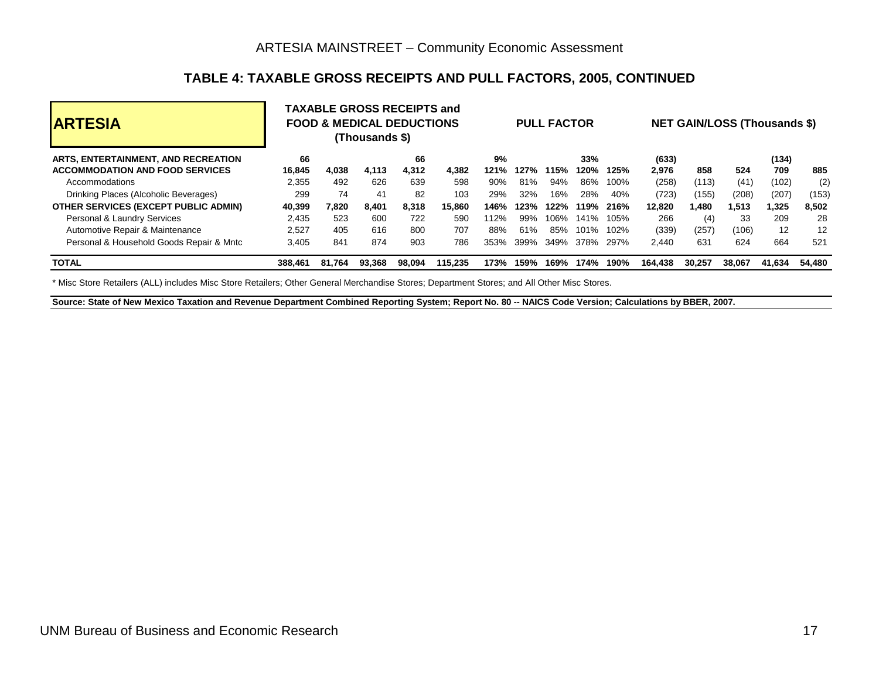# **TABLE 4: TAXABLE GROSS RECEIPTS AND PULL FACTORS, 2005, CONTINUED**

| <b>ARTESIA</b>                              |         | <b>TAXABLE GROSS RECEIPTS and</b><br><b>PULL FACTOR</b><br><b>FOOD &amp; MEDICAL DEDUCTIONS</b><br>(Thousands \$) |        |        |         |      |      |      | <b>NET GAIN/LOSS (Thousands \$)</b> |      |         |        |        |        |        |
|---------------------------------------------|---------|-------------------------------------------------------------------------------------------------------------------|--------|--------|---------|------|------|------|-------------------------------------|------|---------|--------|--------|--------|--------|
| ARTS, ENTERTAINMENT, AND RECREATION         | 66      |                                                                                                                   |        | 66     |         | 9%   |      |      | 33%                                 |      | (633)   |        |        | (134)  |        |
| <b>ACCOMMODATION AND FOOD SERVICES</b>      | 16.845  | 4.038                                                                                                             | 4.113  | 4,312  | 4.382   | 121% | 127% | 115% | 120%                                | 125% | 2.976   | 858    | 524    | 709    | 885    |
| Accommodations                              | 2,355   | 492                                                                                                               | 626    | 639    | 598     | 90%  | 81%  | 94%  | 86%                                 | 100% | (258)   | (113)  | (41)   | (102)  | (2)    |
| Drinking Places (Alcoholic Beverages)       | 299     | 74                                                                                                                | 41     | 82     | 103     | 29%  | 32%  | 16%  | 28%                                 | 40%  | (723)   | (155)  | (208)  | (207)  | (153)  |
| <b>OTHER SERVICES (EXCEPT PUBLIC ADMIN)</b> | 40.399  | 7.820                                                                                                             | 8.401  | 8.318  | 15.860  | 146% | 123% | 122% | 119%                                | 216% | 12.820  | 1.480  | 1.513  | 1,325  | 8,502  |
| Personal & Laundry Services                 | 2.435   | 523                                                                                                               | 600    | 722    | 590     | 112% | 99%  | 106% | 141%                                | 105% | 266     | (4)    | 33     | 209    | 28     |
| Automotive Repair & Maintenance             | 2,527   | 405                                                                                                               | 616    | 800    | 707     | 88%  | 61%  | 85%  | 101%                                | 102% | (339)   | (257)  | (106)  | 12     | 12     |
| Personal & Household Goods Repair & Mntc    | 3,405   | 841                                                                                                               | 874    | 903    | 786     | 353% | 399% | 349% | 378%                                | 297% | 2.440   | 631    | 624    | 664    | 521    |
| <b>TOTAL</b>                                | 388,461 | 81.764                                                                                                            | 93.368 | 98.094 | 115.235 | 173% | 159% | 169% | 174%                                | 190% | 164.438 | 30.257 | 38.067 | 41.634 | 54,480 |

\* Misc Store Retailers (ALL) includes Misc Store Retailers; Other General Merchandise Stores; Department Stores; and All Other Misc Stores.

**Source: State of New Mexico Taxation and Revenue Department Combined Reporting System; Report No. 80 -- NAICS Code Version; Calculations by BBER, 2007.**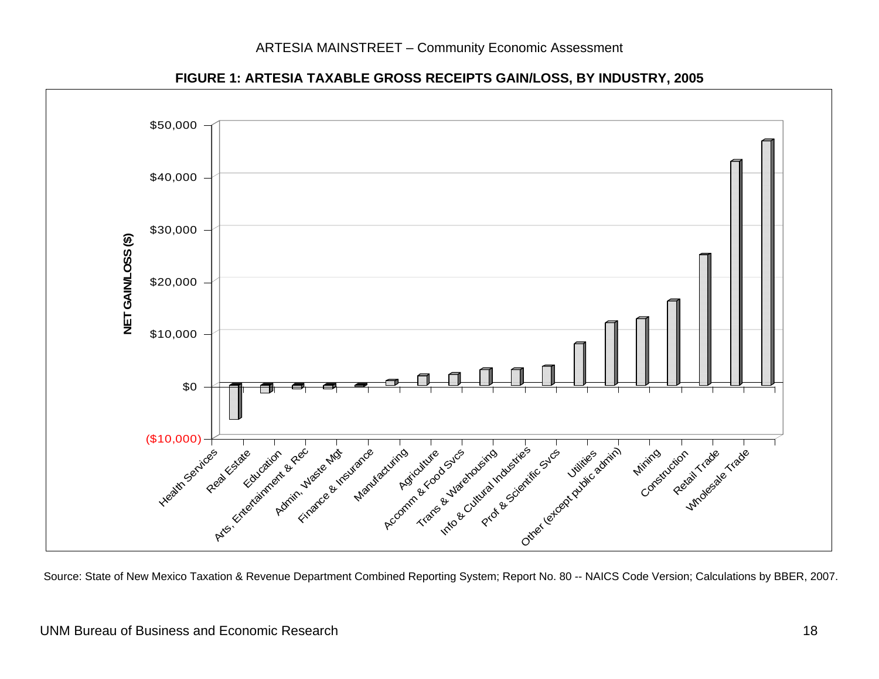

**FIGURE 1: ARTESIA TAXABLE GROSS RECEIPTS GAIN/LOSS, BY INDUSTRY, 2005** 

<span id="page-21-0"></span>Source: State of New Mexico Taxation & Revenue Department Combined Reporting System; Report No. 80 -- NAICS Code Version; Calculations by BBER, 2007.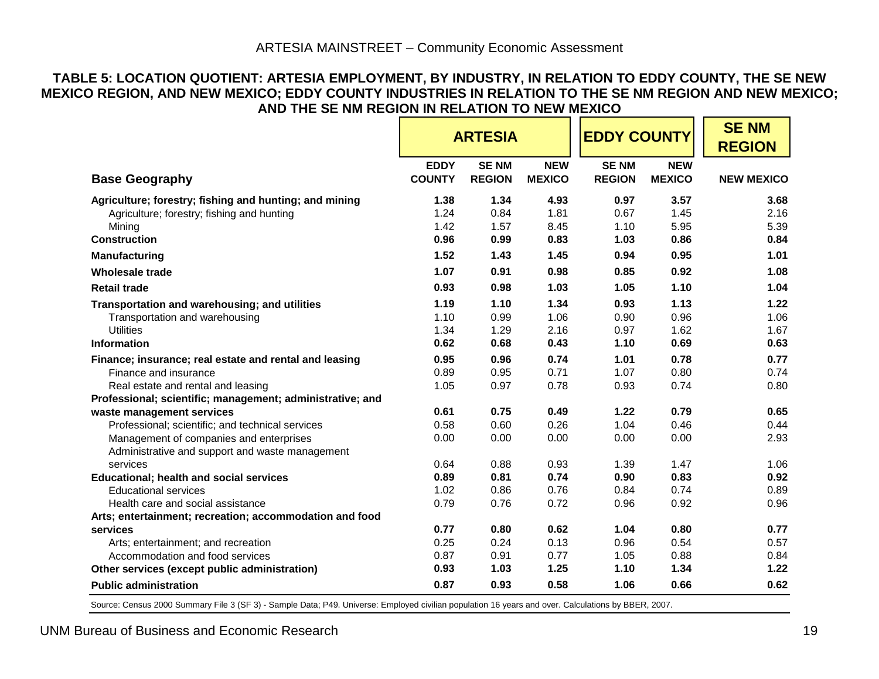#### **TABLE 5: LOCATION QUOTIENT: ARTESIA EMPLOYMENT, BY INDUSTRY, IN RELATION TO EDDY COUNTY, THE SE NEW MEXICO REGION, AND NEW MEXICO; EDDY COUNTY INDUSTRIES IN RELATION TO THE SE NM REGION AND NEW MEXICO; AND THE SE NM REGION IN RELATION TO NEW MEXICO**

|                                                           |               | <b>ARTESIA</b> |               | <b>EDDY COUNTY</b> |               | <b>SENM</b><br><b>REGION</b> |
|-----------------------------------------------------------|---------------|----------------|---------------|--------------------|---------------|------------------------------|
|                                                           | <b>EDDY</b>   | <b>SENM</b>    | <b>NEW</b>    | <b>SENM</b>        | <b>NEW</b>    |                              |
| <b>Base Geography</b>                                     | <b>COUNTY</b> | <b>REGION</b>  | <b>MEXICO</b> | <b>REGION</b>      | <b>MEXICO</b> | <b>NEW MEXICO</b>            |
| Agriculture; forestry; fishing and hunting; and mining    | 1.38          | 1.34           | 4.93          | 0.97               | 3.57          | 3.68                         |
| Agriculture; forestry; fishing and hunting                | 1.24          | 0.84           | 1.81          | 0.67               | 1.45          | 2.16                         |
| Mining                                                    | 1.42          | 1.57           | 8.45          | 1.10               | 5.95          | 5.39                         |
| <b>Construction</b>                                       | 0.96          | 0.99           | 0.83          | 1.03               | 0.86          | 0.84                         |
| Manufacturing                                             | 1.52          | 1.43           | 1.45          | 0.94               | 0.95          | 1.01                         |
| <b>Wholesale trade</b>                                    | 1.07          | 0.91           | 0.98          | 0.85               | 0.92          | 1.08                         |
| <b>Retail trade</b>                                       | 0.93          | 0.98           | 1.03          | 1.05               | 1.10          | 1.04                         |
| Transportation and warehousing; and utilities             | 1.19          | 1.10           | 1.34          | 0.93               | 1.13          | 1.22                         |
| Transportation and warehousing                            | 1.10          | 0.99           | 1.06          | 0.90               | 0.96          | 1.06                         |
| <b>Utilities</b>                                          | 1.34          | 1.29           | 2.16          | 0.97               | 1.62          | 1.67                         |
| <b>Information</b>                                        | 0.62          | 0.68           | 0.43          | 1.10               | 0.69          | 0.63                         |
| Finance; insurance; real estate and rental and leasing    | 0.95          | 0.96           | 0.74          | 1.01               | 0.78          | 0.77                         |
| Finance and insurance                                     | 0.89          | 0.95           | 0.71          | 1.07               | 0.80          | 0.74                         |
| Real estate and rental and leasing                        | 1.05          | 0.97           | 0.78          | 0.93               | 0.74          | 0.80                         |
| Professional; scientific; management; administrative; and |               |                |               |                    |               |                              |
| waste management services                                 | 0.61          | 0.75           | 0.49          | 1.22               | 0.79          | 0.65                         |
| Professional; scientific; and technical services          | 0.58          | 0.60           | 0.26          | 1.04               | 0.46          | 0.44                         |
| Management of companies and enterprises                   | 0.00          | 0.00           | 0.00          | 0.00               | 0.00          | 2.93                         |
| Administrative and support and waste management           |               |                |               |                    |               |                              |
| services                                                  | 0.64          | 0.88           | 0.93          | 1.39               | 1.47          | 1.06                         |
| <b>Educational; health and social services</b>            | 0.89          | 0.81           | 0.74          | 0.90               | 0.83          | 0.92                         |
| <b>Educational services</b>                               | 1.02          | 0.86           | 0.76          | 0.84               | 0.74          | 0.89                         |
| Health care and social assistance                         | 0.79          | 0.76           | 0.72          | 0.96               | 0.92          | 0.96                         |
| Arts; entertainment; recreation; accommodation and food   |               |                |               |                    |               |                              |
| services                                                  | 0.77          | 0.80           | 0.62          | 1.04               | 0.80          | 0.77                         |
| Arts; entertainment; and recreation                       | 0.25          | 0.24           | 0.13          | 0.96               | 0.54          | 0.57                         |
| Accommodation and food services                           | 0.87          | 0.91           | 0.77          | 1.05               | 0.88          | 0.84                         |
| Other services (except public administration)             | 0.93          | 1.03           | 1.25          | 1.10               | 1.34          | 1.22                         |
| <b>Public administration</b>                              | 0.87          | 0.93           | 0.58          | 1.06               | 0.66          | 0.62                         |

<span id="page-22-0"></span>Source: Census 2000 Summary File 3 (SF 3) - Sample Data; P49. Universe: Employed civilian population 16 years and over. Calculations by BBER, 2007.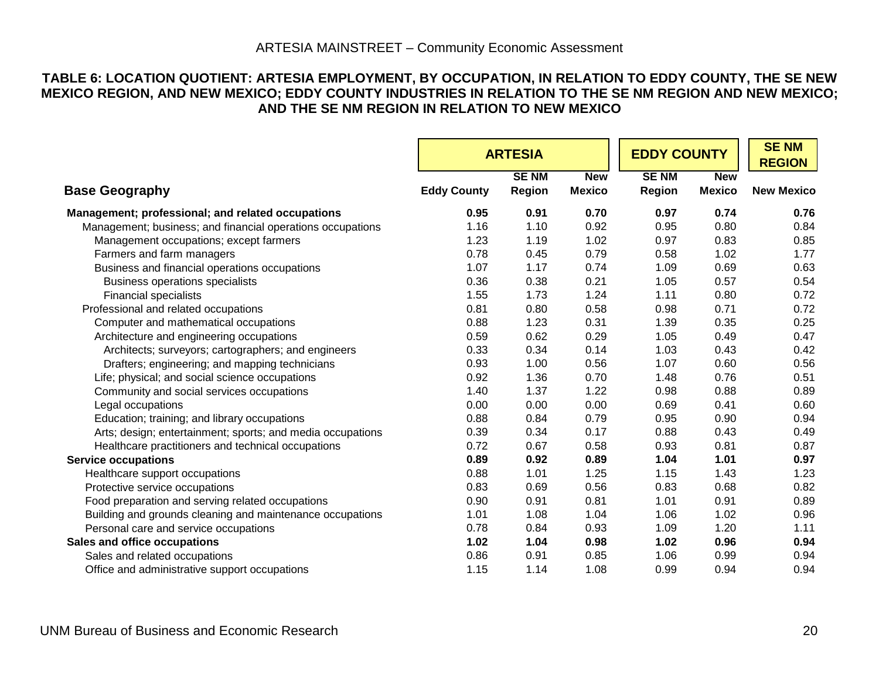#### **TABLE 6: LOCATION QUOTIENT: ARTESIA EMPLOYMENT, BY OCCUPATION, IN RELATION TO EDDY COUNTY, THE SE NEW MEXICO REGION, AND NEW MEXICO; EDDY COUNTY INDUSTRIES IN RELATION TO THE SE NM REGION AND NEW MEXICO; AND THE SE NM REGION IN RELATION TO NEW MEXICO**

<span id="page-23-0"></span>

|                                                            |                    | <b>ARTESIA</b>        |                             | <b>EDDY COUNTY</b>    |                             | <b>SENM</b>       |
|------------------------------------------------------------|--------------------|-----------------------|-----------------------------|-----------------------|-----------------------------|-------------------|
|                                                            |                    |                       |                             |                       |                             | <b>REGION</b>     |
| <b>Base Geography</b>                                      | <b>Eddy County</b> | <b>SENM</b><br>Region | <b>New</b><br><b>Mexico</b> | <b>SENM</b><br>Region | <b>New</b><br><b>Mexico</b> | <b>New Mexico</b> |
| Management; professional; and related occupations          | 0.95               | 0.91                  | 0.70                        | 0.97                  | 0.74                        | 0.76              |
| Management; business; and financial operations occupations | 1.16               | 1.10                  | 0.92                        | 0.95                  | 0.80                        | 0.84              |
| Management occupations; except farmers                     | 1.23               | 1.19                  | 1.02                        | 0.97                  | 0.83                        | 0.85              |
| Farmers and farm managers                                  | 0.78               | 0.45                  | 0.79                        | 0.58                  | 1.02                        | 1.77              |
| Business and financial operations occupations              | 1.07               | 1.17                  | 0.74                        | 1.09                  | 0.69                        | 0.63              |
| <b>Business operations specialists</b>                     | 0.36               | 0.38                  | 0.21                        | 1.05                  | 0.57                        | 0.54              |
| <b>Financial specialists</b>                               | 1.55               | 1.73                  | 1.24                        | 1.11                  | 0.80                        | 0.72              |
| Professional and related occupations                       | 0.81               | 0.80                  | 0.58                        | 0.98                  | 0.71                        | 0.72              |
| Computer and mathematical occupations                      | 0.88               | 1.23                  | 0.31                        | 1.39                  | 0.35                        | 0.25              |
| Architecture and engineering occupations                   | 0.59               | 0.62                  | 0.29                        | 1.05                  | 0.49                        | 0.47              |
| Architects; surveyors; cartographers; and engineers        | 0.33               | 0.34                  | 0.14                        | 1.03                  | 0.43                        | 0.42              |
| Drafters; engineering; and mapping technicians             | 0.93               | 1.00                  | 0.56                        | 1.07                  | 0.60                        | 0.56              |
| Life; physical; and social science occupations             | 0.92               | 1.36                  | 0.70                        | 1.48                  | 0.76                        | 0.51              |
| Community and social services occupations                  | 1.40               | 1.37                  | 1.22                        | 0.98                  | 0.88                        | 0.89              |
| Legal occupations                                          | 0.00               | 0.00                  | 0.00                        | 0.69                  | 0.41                        | 0.60              |
| Education; training; and library occupations               | 0.88               | 0.84                  | 0.79                        | 0.95                  | 0.90                        | 0.94              |
| Arts; design; entertainment; sports; and media occupations | 0.39               | 0.34                  | 0.17                        | 0.88                  | 0.43                        | 0.49              |
| Healthcare practitioners and technical occupations         | 0.72               | 0.67                  | 0.58                        | 0.93                  | 0.81                        | 0.87              |
| <b>Service occupations</b>                                 | 0.89               | 0.92                  | 0.89                        | 1.04                  | 1.01                        | 0.97              |
| Healthcare support occupations                             | 0.88               | 1.01                  | 1.25                        | 1.15                  | 1.43                        | 1.23              |
| Protective service occupations                             | 0.83               | 0.69                  | 0.56                        | 0.83                  | 0.68                        | 0.82              |
| Food preparation and serving related occupations           | 0.90               | 0.91                  | 0.81                        | 1.01                  | 0.91                        | 0.89              |
| Building and grounds cleaning and maintenance occupations  | 1.01               | 1.08                  | 1.04                        | 1.06                  | 1.02                        | 0.96              |
| Personal care and service occupations                      | 0.78               | 0.84                  | 0.93                        | 1.09                  | 1.20                        | 1.11              |
| Sales and office occupations                               | 1.02               | 1.04                  | 0.98                        | 1.02                  | 0.96                        | 0.94              |
| Sales and related occupations                              | 0.86               | 0.91                  | 0.85                        | 1.06                  | 0.99                        | 0.94              |
| Office and administrative support occupations              | 1.15               | 1.14                  | 1.08                        | 0.99                  | 0.94                        | 0.94              |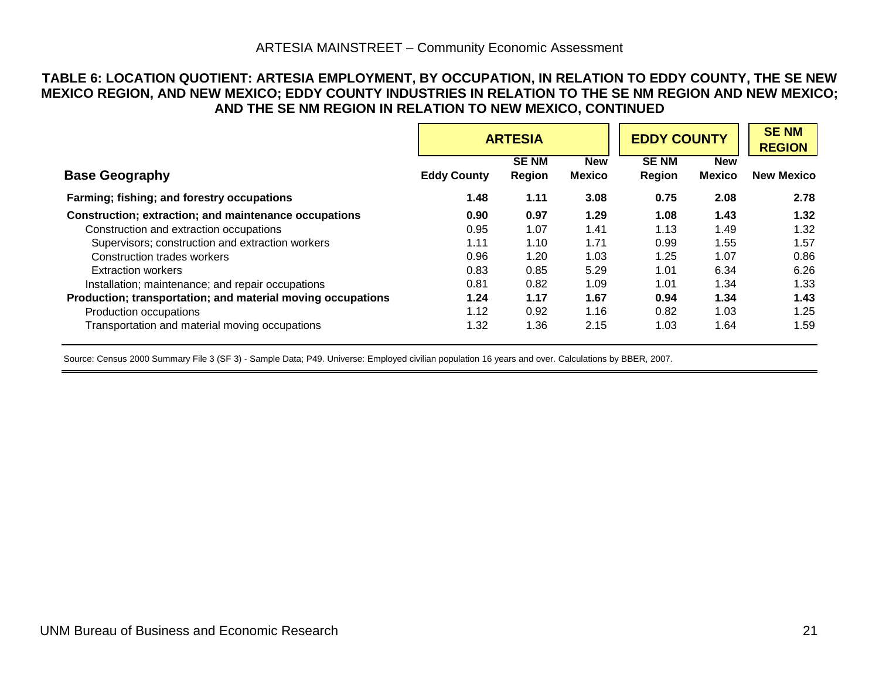#### ARTESIA MAINSTREET – Community Economic Assessment

#### **TABLE 6: LOCATION QUOTIENT: ARTESIA EMPLOYMENT, BY OCCUPATION, IN RELATION TO EDDY COUNTY, THE SE NEW MEXICO REGION, AND NEW MEXICO; EDDY COUNTY INDUSTRIES IN RELATION TO THE SE NM REGION AND NEW MEXICO; AND THE SE NM REGION IN RELATION TO NEW MEXICO, CONTINUED**

|                                                             |                    | <b>ARTESIA</b>        |                             | <b>EDDY COUNTY</b>    | <b>SENM</b><br><b>REGION</b> |                   |
|-------------------------------------------------------------|--------------------|-----------------------|-----------------------------|-----------------------|------------------------------|-------------------|
| <b>Base Geography</b>                                       | <b>Eddy County</b> | <b>SENM</b><br>Region | <b>New</b><br><b>Mexico</b> | <b>SENM</b><br>Region | <b>New</b><br><b>Mexico</b>  | <b>New Mexico</b> |
|                                                             |                    |                       |                             |                       |                              |                   |
| Farming; fishing; and forestry occupations                  | 1.48               | 1.11                  | 3.08                        | 0.75                  | 2.08                         | 2.78              |
| Construction; extraction; and maintenance occupations       | 0.90               | 0.97                  | 1.29                        | 1.08                  | 1.43                         | 1.32              |
| Construction and extraction occupations                     | 0.95               | 1.07                  | 1.41                        | 1.13                  | 1.49                         | 1.32              |
| Supervisors; construction and extraction workers            | 1.11               | 1.10                  | 1.71                        | 0.99                  | 1.55                         | 1.57              |
| Construction trades workers                                 | 0.96               | 1.20                  | 1.03                        | 1.25                  | 1.07                         | 0.86              |
| <b>Extraction workers</b>                                   | 0.83               | 0.85                  | 5.29                        | 1.01                  | 6.34                         | 6.26              |
| Installation; maintenance; and repair occupations           | 0.81               | 0.82                  | 1.09                        | 1.01                  | 1.34                         | 1.33              |
| Production; transportation; and material moving occupations | 1.24               | 1.17                  | 1.67                        | 0.94                  | 1.34                         | 1.43              |
| Production occupations                                      | 1.12               | 0.92                  | 1.16                        | 0.82                  | 1.03                         | 1.25              |
| Transportation and material moving occupations              | 1.32               | 1.36                  | 2.15                        | 1.03                  | 1.64                         | 1.59              |

Source: Census 2000 Summary File 3 (SF 3) - Sample Data; P49. Universe: Employed civilian population 16 years and over. Calculations by BBER, 2007.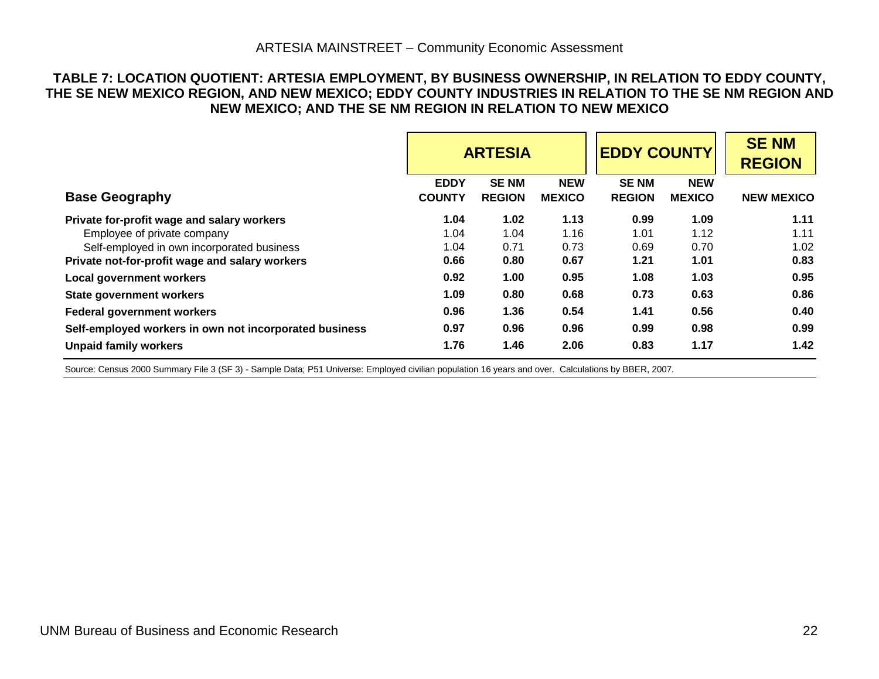#### **TABLE 7: LOCATION QUOTIENT: ARTESIA EMPLOYMENT, BY BUSINESS OWNERSHIP, IN RELATION TO EDDY COUNTY, THE SE NEW MEXICO REGION, AND NEW MEXICO; EDDY COUNTY INDUSTRIES IN RELATION TO THE SE NM REGION AND NEW MEXICO; AND THE SE NM REGION IN RELATION TO NEW MEXICO**

|                                                                                                                                                                           | <b>ARTESIA</b>               |                              | <b>EDDY COUNTY</b>           |                              | <b>SENM</b><br><b>REGION</b> |                              |
|---------------------------------------------------------------------------------------------------------------------------------------------------------------------------|------------------------------|------------------------------|------------------------------|------------------------------|------------------------------|------------------------------|
| <b>Base Geography</b>                                                                                                                                                     | <b>EDDY</b><br><b>COUNTY</b> | <b>SENM</b><br><b>REGION</b> | <b>NEW</b><br><b>MEXICO</b>  | <b>SENM</b><br><b>REGION</b> | <b>NEW</b><br><b>MEXICO</b>  | <b>NEW MEXICO</b>            |
| Private for-profit wage and salary workers<br>Employee of private company<br>Self-employed in own incorporated business<br>Private not-for-profit wage and salary workers | 1.04<br>1.04<br>1.04<br>0.66 | 1.02<br>1.04<br>0.71<br>0.80 | 1.13<br>1.16<br>0.73<br>0.67 | 0.99<br>1.01<br>0.69<br>1.21 | 1.09<br>1.12<br>0.70<br>1.01 | 1.11<br>1.11<br>1.02<br>0.83 |
| Local government workers                                                                                                                                                  | 0.92                         | 1.00                         | 0.95                         | 1.08                         | 1.03                         | 0.95                         |
| <b>State government workers</b>                                                                                                                                           | 1.09                         | 0.80                         | 0.68                         | 0.73                         | 0.63                         | 0.86                         |
| <b>Federal government workers</b>                                                                                                                                         | 0.96                         | 1.36                         | 0.54                         | 1.41                         | 0.56                         | 0.40                         |
| Self-employed workers in own not incorporated business                                                                                                                    | 0.97                         | 0.96                         | 0.96                         | 0.99                         | 0.98                         | 0.99                         |
| <b>Unpaid family workers</b>                                                                                                                                              | 1.76                         | 1.46                         | 2.06                         | 0.83                         | 1.17                         | 1.42                         |

<span id="page-25-0"></span>Source: Census 2000 Summary File 3 (SF 3) - Sample Data; P51 Universe: Employed civilian population 16 years and over. Calculations by BBER, 2007.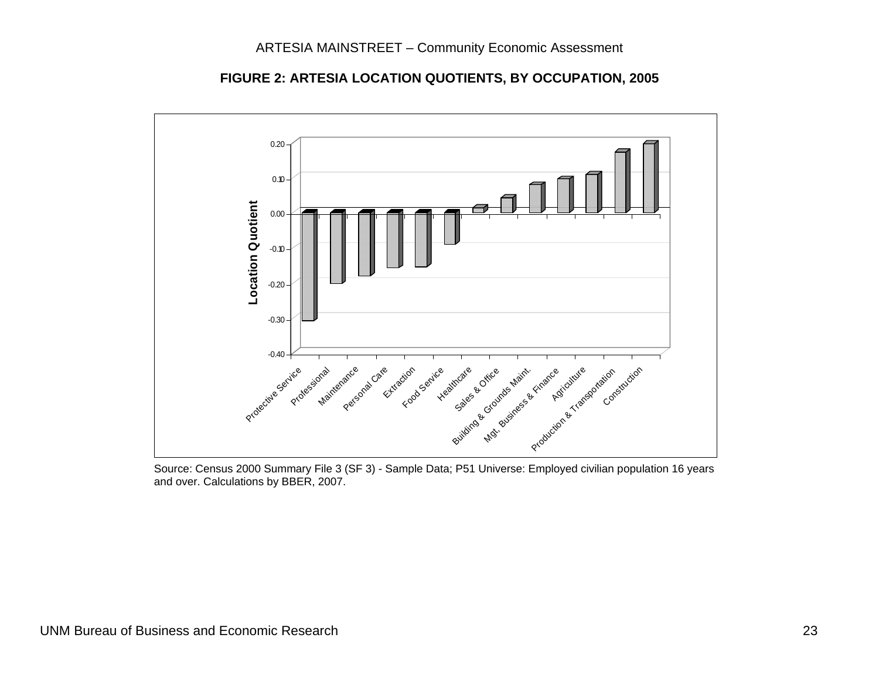

**FIGURE 2: ARTESIA LOCATION QUOTIENTS, BY OCCUPATION, 2005** 

<span id="page-26-0"></span> Source: Census 2000 Summary File 3 (SF 3) - Sample Data; P51 Universe: Employed civilian population 16 years and over. Calculations by BBER, 2007.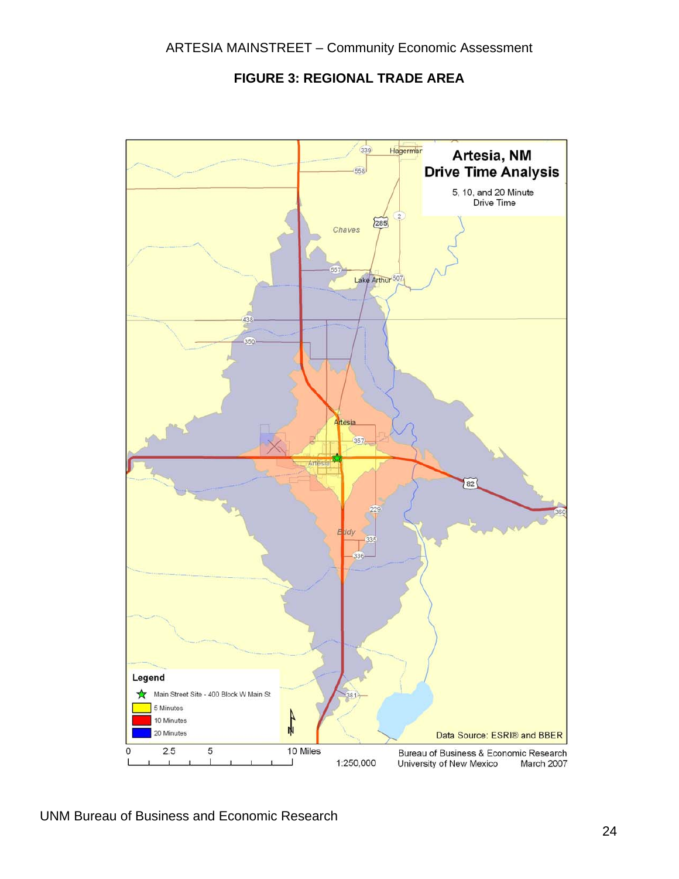

<span id="page-27-0"></span>

UNM Bureau of Business and Economic Research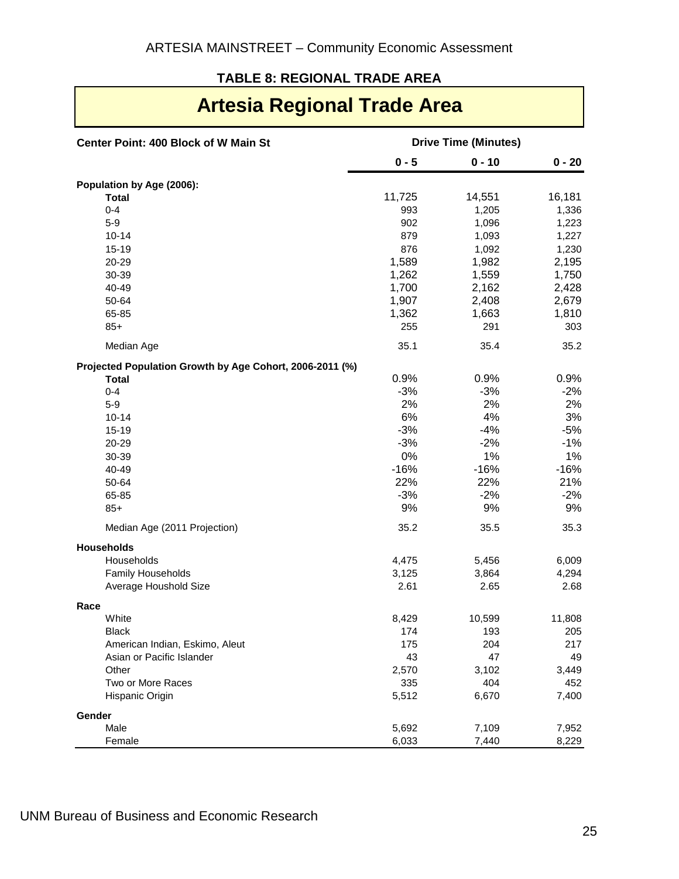## **TABLE 8: REGIONAL TRADE AREA**

# **Artesia Regional Trade Area**

<span id="page-28-0"></span>

| <b>Center Point: 400 Block of W Main St</b>              | <b>Drive Time (Minutes)</b> |               |               |  |  |
|----------------------------------------------------------|-----------------------------|---------------|---------------|--|--|
|                                                          | $0 - 5$                     | $0 - 10$      | $0 - 20$      |  |  |
| Population by Age (2006):                                |                             |               |               |  |  |
| <b>Total</b>                                             | 11,725                      | 14,551        | 16,181        |  |  |
| $0 - 4$                                                  | 993                         | 1,205         | 1,336         |  |  |
| $5-9$                                                    | 902                         | 1,096         | 1,223         |  |  |
| $10 - 14$                                                | 879                         | 1,093         | 1,227         |  |  |
| 15-19                                                    | 876                         | 1,092         | 1,230         |  |  |
| 20-29                                                    | 1,589                       | 1,982         | 2,195         |  |  |
| 30-39                                                    | 1,262                       | 1,559         | 1,750         |  |  |
| 40-49                                                    | 1,700                       | 2,162         | 2,428         |  |  |
| 50-64                                                    | 1,907                       | 2,408         | 2,679         |  |  |
| 65-85                                                    | 1,362                       | 1,663         | 1,810         |  |  |
| $85+$                                                    | 255                         | 291           | 303           |  |  |
| Median Age                                               | 35.1                        | 35.4          | 35.2          |  |  |
| Projected Population Growth by Age Cohort, 2006-2011 (%) |                             |               |               |  |  |
| <b>Total</b>                                             | 0.9%                        | 0.9%          | 0.9%          |  |  |
| $0 - 4$                                                  | $-3%$                       | $-3%$         | $-2%$         |  |  |
| $5-9$                                                    | 2%                          | 2%            | 2%            |  |  |
| $10 - 14$                                                | 6%                          | 4%            | 3%            |  |  |
| 15-19                                                    | $-3%$                       | $-4%$         | $-5%$         |  |  |
| 20-29                                                    | $-3%$                       | $-2%$         | $-1%$         |  |  |
| 30-39                                                    | 0%                          | 1%            | 1%            |  |  |
| 40-49                                                    | $-16%$                      | $-16%$        | $-16%$        |  |  |
| 50-64                                                    | 22%                         | 22%           | 21%           |  |  |
| 65-85                                                    | $-3%$                       | $-2%$         | $-2%$         |  |  |
|                                                          | 9%                          |               |               |  |  |
| $85+$                                                    |                             | 9%            | 9%            |  |  |
| Median Age (2011 Projection)                             | 35.2                        | 35.5          | 35.3          |  |  |
| <b>Households</b><br>Households                          | 4,475                       | 5,456         | 6,009         |  |  |
| Family Households                                        |                             |               |               |  |  |
| Average Houshold Size                                    | 3,125<br>2.61               | 3,864<br>2.65 | 4,294<br>2.68 |  |  |
| Race                                                     |                             |               |               |  |  |
| White                                                    | 8,429                       | 10,599        | 11,808        |  |  |
| <b>Black</b>                                             | 174                         | 193           | 205           |  |  |
| American Indian, Eskimo, Aleut                           | 175                         | 204           | 217           |  |  |
| Asian or Pacific Islander                                | 43                          | 47            | 49            |  |  |
| Other                                                    | 2,570                       | 3,102         | 3,449         |  |  |
| Two or More Races                                        | 335                         | 404           | 452           |  |  |
| Hispanic Origin                                          | 5,512                       | 6,670         | 7,400         |  |  |
| Gender                                                   |                             |               |               |  |  |
| Male                                                     | 5,692                       | 7,109         | 7,952         |  |  |
| Female                                                   | 6,033                       | 7,440         | 8,229         |  |  |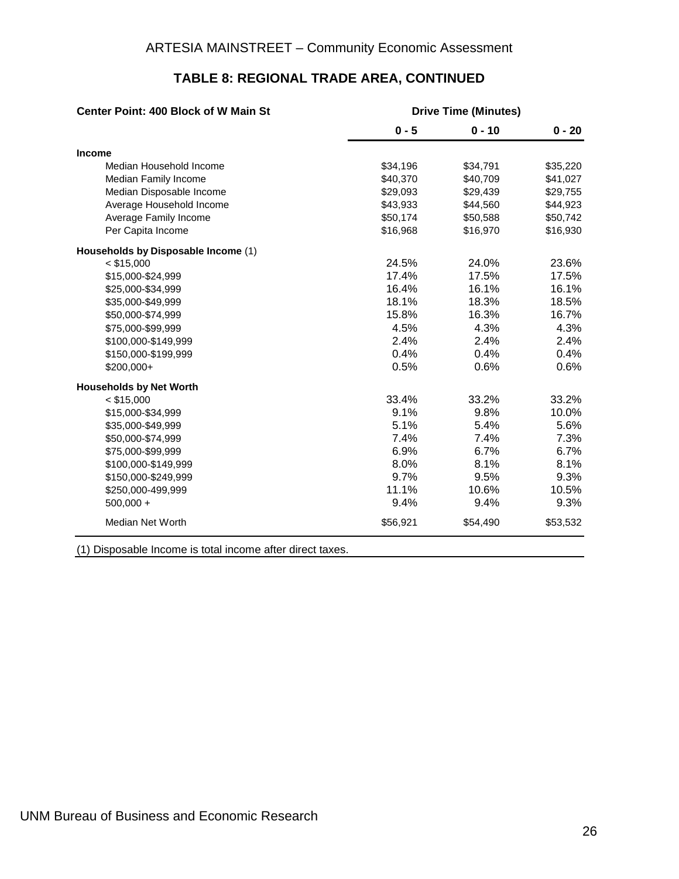| <b>Center Point: 400 Block of W Main St</b> | <b>Drive Time (Minutes)</b> |          |          |  |  |
|---------------------------------------------|-----------------------------|----------|----------|--|--|
|                                             | $0 - 5$                     | $0 - 10$ | $0 - 20$ |  |  |
| <b>Income</b>                               |                             |          |          |  |  |
| Median Household Income                     | \$34,196                    | \$34,791 | \$35,220 |  |  |
| Median Family Income                        | \$40,370                    | \$40,709 | \$41,027 |  |  |
| Median Disposable Income                    | \$29,093                    | \$29,439 | \$29,755 |  |  |
| Average Household Income                    | \$43,933                    | \$44,560 | \$44,923 |  |  |
| Average Family Income                       | \$50,174                    | \$50,588 | \$50,742 |  |  |
| Per Capita Income                           | \$16,968                    | \$16,970 | \$16,930 |  |  |
| Households by Disposable Income (1)         |                             |          |          |  |  |
| $<$ \$15,000                                | 24.5%                       | 24.0%    | 23.6%    |  |  |
| \$15,000-\$24,999                           | 17.4%                       | 17.5%    | 17.5%    |  |  |
| \$25,000-\$34,999                           | 16.4%                       | 16.1%    | 16.1%    |  |  |
| \$35,000-\$49,999                           | 18.1%                       | 18.3%    | 18.5%    |  |  |
| \$50,000-\$74,999                           | 15.8%                       | 16.3%    | 16.7%    |  |  |
| \$75,000-\$99,999                           | 4.5%                        | 4.3%     | 4.3%     |  |  |
| \$100,000-\$149,999                         | 2.4%                        | 2.4%     | 2.4%     |  |  |
| \$150,000-\$199,999                         | 0.4%                        | 0.4%     | 0.4%     |  |  |
| $$200,000+$                                 | 0.5%                        | 0.6%     | 0.6%     |  |  |
| <b>Households by Net Worth</b>              |                             |          |          |  |  |
| $<$ \$15,000                                | 33.4%                       | 33.2%    | 33.2%    |  |  |
| \$15,000-\$34,999                           | 9.1%                        | 9.8%     | 10.0%    |  |  |
| \$35,000-\$49,999                           | 5.1%                        | 5.4%     | 5.6%     |  |  |
| \$50,000-\$74,999                           | 7.4%                        | 7.4%     | 7.3%     |  |  |
| \$75,000-\$99,999                           | 6.9%                        | 6.7%     | 6.7%     |  |  |
| \$100,000-\$149,999                         | 8.0%                        | 8.1%     | 8.1%     |  |  |
| \$150,000-\$249,999                         | 9.7%                        | 9.5%     | 9.3%     |  |  |
| \$250,000-499,999                           | 11.1%                       | 10.6%    | 10.5%    |  |  |
| $500,000 +$                                 | 9.4%                        | 9.4%     | 9.3%     |  |  |
| Median Net Worth                            | \$56,921                    | \$54,490 | \$53,532 |  |  |
|                                             |                             |          |          |  |  |

#### **TABLE 8: REGIONAL TRADE AREA, CONTINUED**

(1) Disposable Income is total income after direct taxes.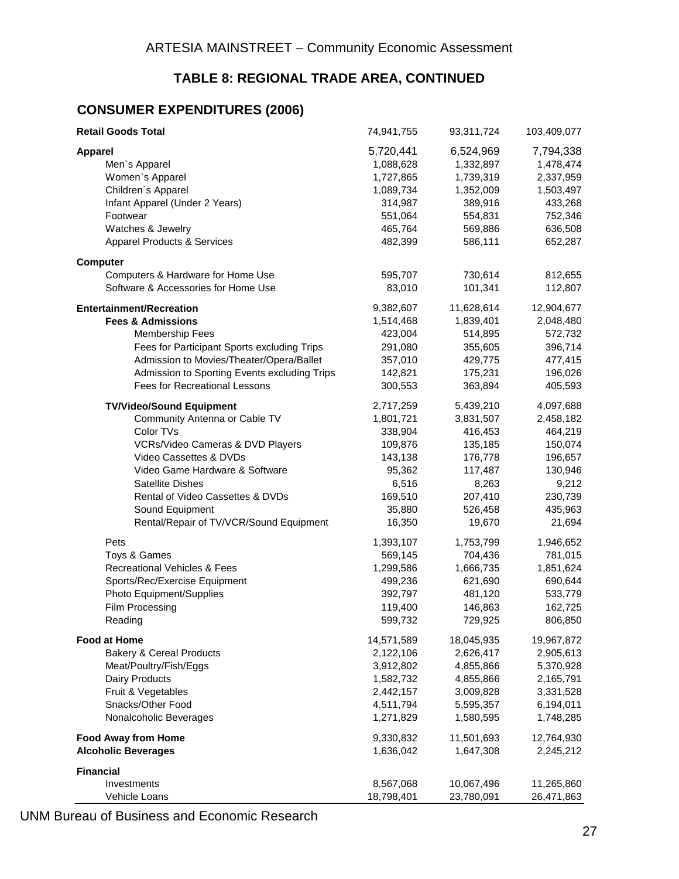#### **TABLE 8: REGIONAL TRADE AREA, CONTINUED**

#### **CONSUMER EXPENDITURES (2006)**

| <b>Retail Goods Total</b>                    | 74,941,755 | 93,311,724 | 103,409,077 |
|----------------------------------------------|------------|------------|-------------|
| <b>Apparel</b>                               | 5,720,441  | 6,524,969  | 7,794,338   |
| Men's Apparel                                | 1,088,628  | 1,332,897  | 1,478,474   |
| Women's Apparel                              | 1,727,865  | 1,739,319  | 2,337,959   |
| Children's Apparel                           | 1,089,734  | 1,352,009  | 1,503,497   |
| Infant Apparel (Under 2 Years)               | 314,987    | 389,916    | 433,268     |
| Footwear                                     | 551,064    | 554,831    | 752,346     |
| Watches & Jewelry                            | 465,764    | 569,886    | 636,508     |
| <b>Apparel Products &amp; Services</b>       | 482,399    | 586,111    | 652,287     |
| <b>Computer</b>                              |            |            |             |
| Computers & Hardware for Home Use            | 595,707    | 730,614    | 812,655     |
| Software & Accessories for Home Use          | 83,010     | 101,341    | 112,807     |
| <b>Entertainment/Recreation</b>              | 9,382,607  | 11,628,614 | 12,904,677  |
| <b>Fees &amp; Admissions</b>                 | 1,514,468  | 1,839,401  | 2,048,480   |
| <b>Membership Fees</b>                       | 423,004    | 514,895    | 572,732     |
| Fees for Participant Sports excluding Trips  | 291,080    | 355,605    | 396,714     |
| Admission to Movies/Theater/Opera/Ballet     | 357,010    | 429,775    | 477,415     |
| Admission to Sporting Events excluding Trips | 142,821    | 175,231    | 196,026     |
| Fees for Recreational Lessons                | 300,553    | 363,894    | 405,593     |
| <b>TV/Video/Sound Equipment</b>              | 2,717,259  | 5,439,210  | 4,097,688   |
| Community Antenna or Cable TV                | 1,801,721  | 3,831,507  | 2,458,182   |
| Color TVs                                    | 338,904    | 416,453    | 464,219     |
| VCRs/Video Cameras & DVD Players             | 109,876    | 135,185    | 150,074     |
| Video Cassettes & DVDs                       | 143,138    | 176,778    | 196,657     |
| Video Game Hardware & Software               | 95,362     | 117,487    | 130,946     |
| <b>Satellite Dishes</b>                      | 6,516      | 8,263      | 9,212       |
| Rental of Video Cassettes & DVDs             | 169,510    | 207,410    | 230,739     |
| Sound Equipment                              | 35,880     | 526,458    | 435,963     |
| Rental/Repair of TV/VCR/Sound Equipment      | 16,350     | 19,670     | 21,694      |
| Pets                                         | 1,393,107  | 1,753,799  | 1,946,652   |
| Toys & Games                                 | 569,145    | 704,436    | 781,015     |
| Recreational Vehicles & Fees                 | 1,299,586  | 1,666,735  | 1,851,624   |
| Sports/Rec/Exercise Equipment                | 499,236    | 621,690    | 690,644     |
| Photo Equipment/Supplies                     | 392,797    | 481,120    | 533,779     |
| Film Processing                              | 119,400    | 146,863    | 162,725     |
| Reading                                      | 599,732    | 729,925    | 806,850     |
| <b>Food at Home</b>                          | 14,571,589 | 18,045,935 | 19,967,872  |
| <b>Bakery &amp; Cereal Products</b>          | 2,122,106  | 2,626,417  | 2,905,613   |
| Meat/Poultry/Fish/Eggs                       | 3,912,802  | 4,855,866  | 5,370,928   |
| Dairy Products                               | 1,582,732  | 4,855,866  | 2,165,791   |
| Fruit & Vegetables                           | 2,442,157  | 3,009,828  | 3,331,528   |
| Snacks/Other Food                            | 4,511,794  | 5,595,357  | 6,194,011   |
| Nonalcoholic Beverages                       | 1,271,829  | 1,580,595  | 1,748,285   |
| <b>Food Away from Home</b>                   | 9,330,832  | 11,501,693 | 12,764,930  |
| <b>Alcoholic Beverages</b>                   | 1,636,042  | 1,647,308  | 2,245,212   |
| <b>Financial</b>                             |            |            |             |
| Investments                                  | 8,567,068  | 10,067,496 | 11,265,860  |
| Vehicle Loans                                | 18,798,401 | 23,780,091 | 26,471,863  |

UNM Bureau of Business and Economic Research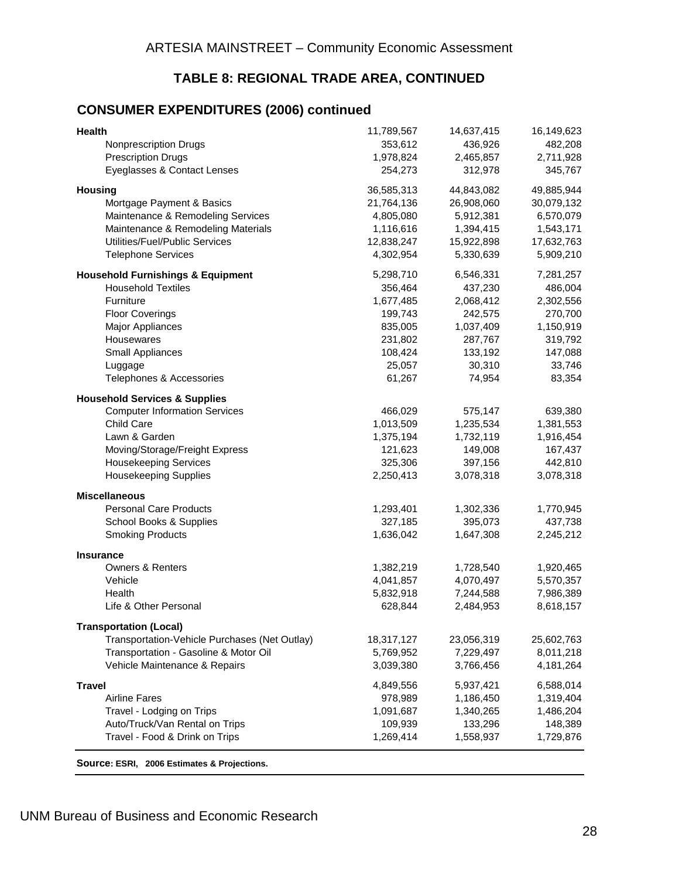#### **TABLE 8: REGIONAL TRADE AREA, CONTINUED**

#### **CONSUMER EXPENDITURES (2006) continued**

| Health                                          | 11,789,567 | 14,637,415 | 16,149,623 |
|-------------------------------------------------|------------|------------|------------|
| Nonprescription Drugs                           | 353,612    | 436,926    | 482,208    |
| <b>Prescription Drugs</b>                       | 1,978,824  | 2,465,857  | 2,711,928  |
| Eyeglasses & Contact Lenses                     | 254,273    | 312,978    | 345,767    |
| <b>Housing</b>                                  | 36,585,313 | 44,843,082 | 49,885,944 |
| Mortgage Payment & Basics                       | 21,764,136 | 26,908,060 | 30,079,132 |
| Maintenance & Remodeling Services               | 4,805,080  | 5,912,381  | 6,570,079  |
| Maintenance & Remodeling Materials              | 1,116,616  | 1,394,415  | 1,543,171  |
| Utilities/Fuel/Public Services                  | 12,838,247 | 15,922,898 | 17,632,763 |
| <b>Telephone Services</b>                       | 4,302,954  | 5,330,639  | 5,909,210  |
| <b>Household Furnishings &amp; Equipment</b>    | 5,298,710  | 6,546,331  | 7,281,257  |
| <b>Household Textiles</b>                       | 356,464    | 437,230    | 486,004    |
| Furniture                                       | 1,677,485  | 2,068,412  | 2,302,556  |
| <b>Floor Coverings</b>                          | 199,743    | 242,575    | 270,700    |
| Major Appliances                                | 835,005    | 1,037,409  | 1,150,919  |
| Housewares                                      | 231,802    | 287,767    | 319,792    |
| Small Appliances                                | 108,424    | 133,192    | 147,088    |
| Luggage                                         | 25,057     | 30,310     | 33,746     |
| Telephones & Accessories                        | 61,267     | 74,954     | 83,354     |
| <b>Household Services &amp; Supplies</b>        |            |            |            |
| <b>Computer Information Services</b>            | 466,029    | 575,147    | 639,380    |
| Child Care                                      | 1,013,509  | 1,235,534  | 1,381,553  |
| Lawn & Garden                                   | 1,375,194  | 1,732,119  | 1,916,454  |
| Moving/Storage/Freight Express                  | 121,623    | 149,008    | 167,437    |
| <b>Housekeeping Services</b>                    | 325,306    | 397,156    | 442,810    |
| <b>Housekeeping Supplies</b>                    | 2,250,413  | 3,078,318  | 3,078,318  |
| <b>Miscellaneous</b>                            |            |            |            |
| <b>Personal Care Products</b>                   | 1,293,401  | 1,302,336  | 1,770,945  |
| School Books & Supplies                         | 327,185    | 395,073    | 437,738    |
| <b>Smoking Products</b>                         | 1,636,042  | 1,647,308  | 2,245,212  |
| <b>Insurance</b><br><b>Owners &amp; Renters</b> | 1,382,219  | 1,728,540  | 1,920,465  |
| Vehicle                                         | 4,041,857  | 4,070,497  | 5,570,357  |
| Health                                          | 5,832,918  | 7,244,588  | 7,986,389  |
| Life & Other Personal                           | 628,844    | 2,484,953  | 8,618,157  |
| <b>Transportation (Local)</b>                   |            |            |            |
| Transportation-Vehicle Purchases (Net Outlay)   | 18,317,127 | 23,056,319 | 25,602,763 |
| Transportation - Gasoline & Motor Oil           | 5,769,952  | 7,229,497  | 8,011,218  |
| Vehicle Maintenance & Repairs                   | 3,039,380  | 3,766,456  | 4,181,264  |
| <b>Travel</b>                                   | 4,849,556  | 5,937,421  | 6,588,014  |
| <b>Airline Fares</b>                            | 978,989    | 1,186,450  | 1,319,404  |
| Travel - Lodging on Trips                       | 1,091,687  | 1,340,265  | 1,486,204  |
| Auto/Truck/Van Rental on Trips                  | 109,939    | 133,296    | 148,389    |
| Travel - Food & Drink on Trips                  | 1,269,414  | 1,558,937  | 1,729,876  |
| Source: ESRI, 2006 Estimates & Projections.     |            |            |            |

UNM Bureau of Business and Economic Research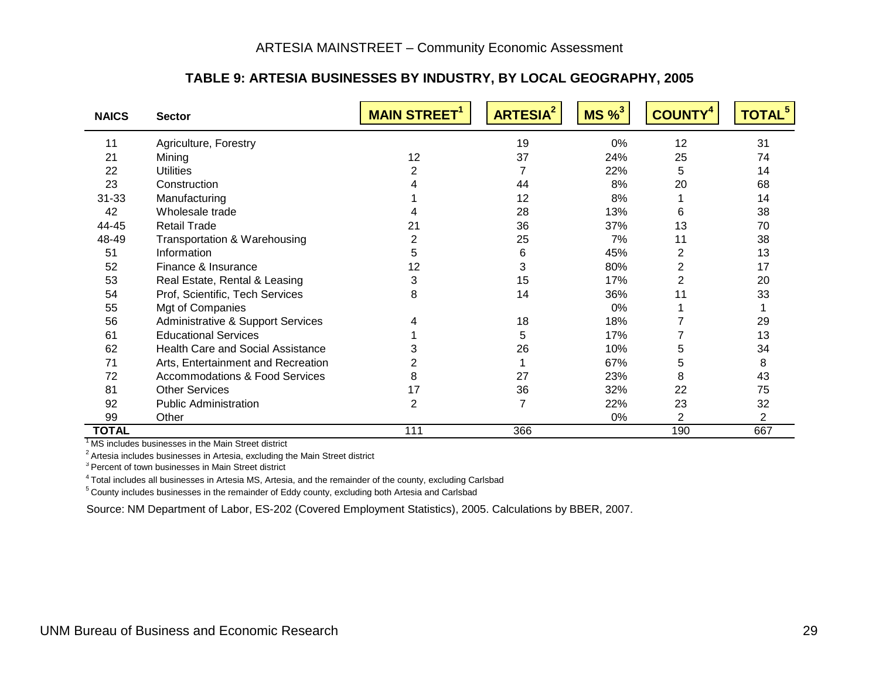#### **TABLE 9: ARTESIA BUSINESSES BY INDUSTRY, BY LOCAL GEOGRAPHY, 2005**

| <b>NAICS</b> | <b>Sector</b>                             | <b>MAIN STREET<sup>1</sup></b> | <b>ARTESIA<sup>2</sup></b> | $MS\%$ <sup>3</sup> | <b>COUNTY</b> | <b>TOTAL<sup>5</sup></b> |
|--------------|-------------------------------------------|--------------------------------|----------------------------|---------------------|---------------|--------------------------|
| 11           | Agriculture, Forestry                     |                                | 19                         | 0%                  | 12            | 31                       |
| 21           | Mining                                    | 12                             | 37                         | 24%                 | 25            | 74                       |
| 22           | <b>Utilities</b>                          |                                |                            | 22%                 | 5             | 14                       |
| 23           | Construction                              |                                | 44                         | 8%                  | 20            | 68                       |
| $31 - 33$    | Manufacturing                             |                                | 12                         | 8%                  |               | 14                       |
| 42           | Wholesale trade                           |                                | 28                         | 13%                 | 6             | 38                       |
| 44-45        | <b>Retail Trade</b>                       | 21                             | 36                         | 37%                 | 13            | 70                       |
| 48-49        | Transportation & Warehousing              |                                | 25                         | 7%                  | 11            | 38                       |
| 51           | Information                               | 5                              | 6                          | 45%                 | 2             | 13                       |
| 52           | Finance & Insurance                       | 12                             | 3                          | 80%                 | 2             | 17                       |
| 53           | Real Estate, Rental & Leasing             | 3                              | 15                         | 17%                 | 2             | 20                       |
| 54           | Prof, Scientific, Tech Services           | 8                              | 14                         | 36%                 | 11            | 33                       |
| 55           | Mgt of Companies                          |                                |                            | $0\%$               |               |                          |
| 56           | Administrative & Support Services         |                                | 18                         | 18%                 |               | 29                       |
| 61           | <b>Educational Services</b>               |                                | 5                          | 17%                 |               | 13                       |
| 62           | <b>Health Care and Social Assistance</b>  |                                | 26                         | 10%                 | 5             | 34                       |
| 71           | Arts, Entertainment and Recreation        |                                |                            | 67%                 | 5             | 8                        |
| 72           | <b>Accommodations &amp; Food Services</b> | 8                              | 27                         | 23%                 | 8             | 43                       |
| 81           | <b>Other Services</b>                     | 17                             | 36                         | 32%                 | 22            | 75                       |
| 92           | <b>Public Administration</b>              | 2                              | 7                          | 22%                 | 23            | 32                       |
| 99           | Other                                     |                                |                            | 0%                  | 2             | $\overline{2}$           |
| <b>TOTAL</b> |                                           | 111                            | 366                        |                     | 190           | 667                      |

<sup>1</sup> MS includes businesses in the Main Street district

<sup>2</sup> Artesia includes businesses in Artesia, excluding the Main Street district

<sup>3</sup> Percent of town businesses in Main Street district

4 Total includes all businesses in Artesia MS, Artesia, and the remainder of the county, excluding Carlsbad

<span id="page-32-0"></span>5 County includes businesses in the remainder of Eddy county, excluding both Artesia and Carlsbad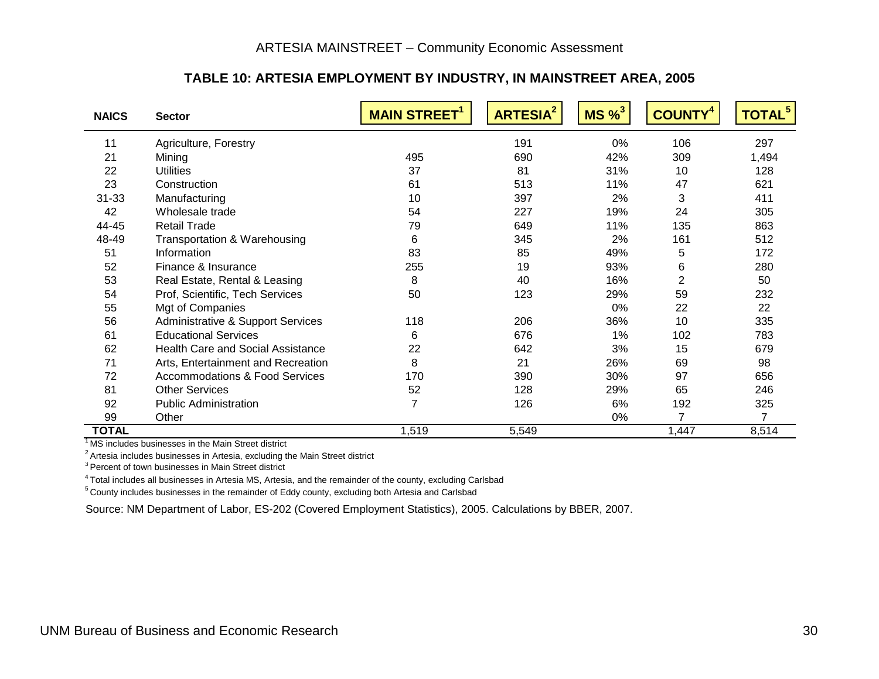#### **TABLE 10: ARTESIA EMPLOYMENT BY INDUSTRY, IN MAINSTREET AREA, 2005**

| <b>NAICS</b> | <b>Sector</b>                            | <b>MAIN STREET<sup>1</sup></b> | <b>ARTESIA<sup>2</sup></b> | $MS\%$ <sup>3</sup> | <b>COUNTY</b>  | TOTAL <sup>5</sup> |
|--------------|------------------------------------------|--------------------------------|----------------------------|---------------------|----------------|--------------------|
| 11           | Agriculture, Forestry                    |                                | 191                        | 0%                  | 106            | 297                |
| 21           | Mining                                   | 495                            | 690                        | 42%                 | 309            | 1,494              |
| 22           | <b>Utilities</b>                         | 37                             | 81                         | 31%                 | 10             | 128                |
| 23           | Construction                             | 61                             | 513                        | 11%                 | 47             | 621                |
| $31 - 33$    | Manufacturing                            | 10                             | 397                        | 2%                  | 3              | 411                |
| 42           | Wholesale trade                          | 54                             | 227                        | 19%                 | 24             | 305                |
| 44-45        | <b>Retail Trade</b>                      | 79                             | 649                        | 11%                 | 135            | 863                |
| 48-49        | Transportation & Warehousing             | 6                              | 345                        | 2%                  | 161            | 512                |
| 51           | Information                              | 83                             | 85                         | 49%                 | 5              | 172                |
| 52           | Finance & Insurance                      | 255                            | 19                         | 93%                 | 6              | 280                |
| 53           | Real Estate, Rental & Leasing            | 8                              | 40                         | 16%                 | $\overline{2}$ | 50                 |
| 54           | Prof, Scientific, Tech Services          | 50                             | 123                        | 29%                 | 59             | 232                |
| 55           | Mgt of Companies                         |                                |                            | 0%                  | 22             | 22                 |
| 56           | Administrative & Support Services        | 118                            | 206                        | 36%                 | 10             | 335                |
| 61           | <b>Educational Services</b>              | 6                              | 676                        | 1%                  | 102            | 783                |
| 62           | <b>Health Care and Social Assistance</b> | 22                             | 642                        | 3%                  | 15             | 679                |
| 71           | Arts, Entertainment and Recreation       | 8                              | 21                         | 26%                 | 69             | 98                 |
| 72           | Accommodations & Food Services           | 170                            | 390                        | 30%                 | 97             | 656                |
| 81           | <b>Other Services</b>                    | 52                             | 128                        | 29%                 | 65             | 246                |
| 92           | <b>Public Administration</b>             | $\overline{7}$                 | 126                        | 6%                  | 192            | 325                |
| 99           | Other                                    |                                |                            | 0%                  | 7              | 7                  |
| <b>TOTAL</b> |                                          | 1,519                          | 5,549                      |                     | 1,447          | 8,514              |

<sup>1</sup>MS includes businesses in the Main Street district

 $2^2$  Artesia includes businesses in Artesia, excluding the Main Street district

<sup>3</sup> Percent of town businesses in Main Street district

4 Total includes all businesses in Artesia MS, Artesia, and the remainder of the county, excluding Carlsbad

<span id="page-33-0"></span>5 County includes businesses in the remainder of Eddy county, excluding both Artesia and Carlsbad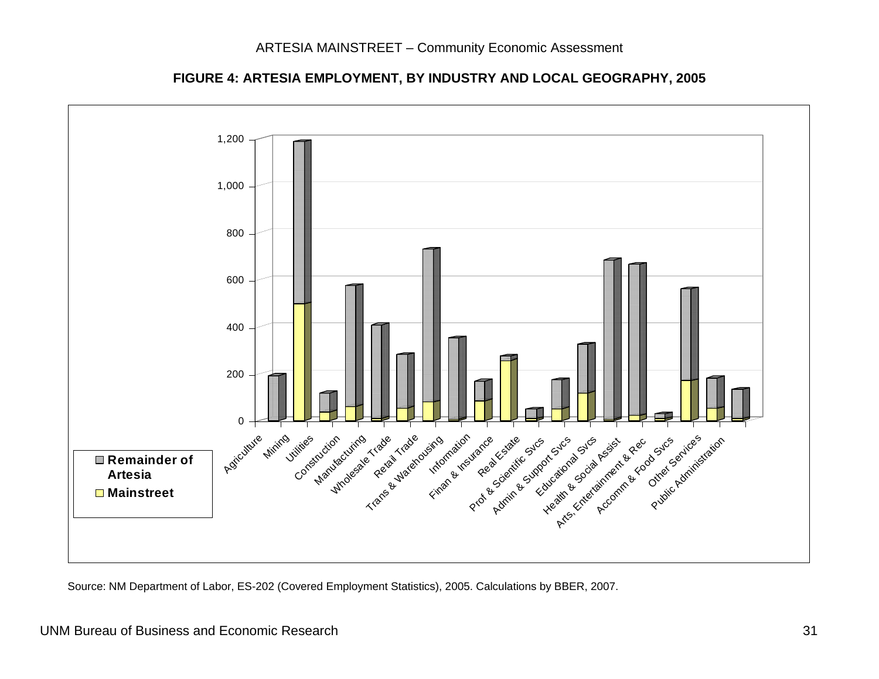

**FIGURE 4: ARTESIA EMPLOYMENT, BY INDUSTRY AND LOCAL GEOGRAPHY, 2005**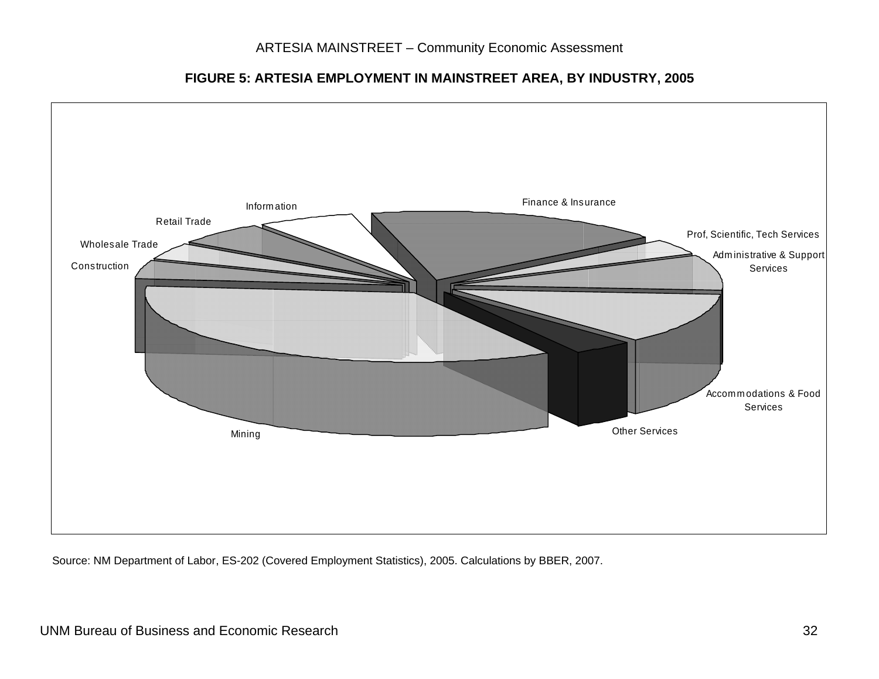**FIGURE 5: ARTESIA EMPLOYMENT IN MAINSTREET AREA, BY INDUSTRY, 2005** 

<span id="page-35-0"></span>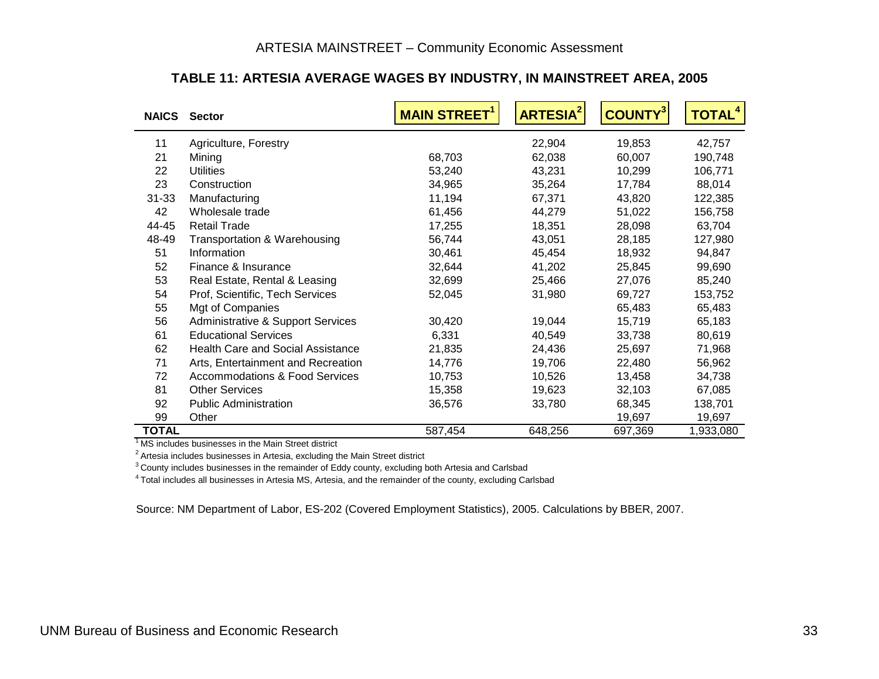| <b>NAICS</b> | <b>Sector</b>                                | <b>MAIN STREET</b> | <b>ARTESIA<sup>2</sup></b> | <b>COUNTY3</b> | <b>TOTAL<sup>4</sup></b> |
|--------------|----------------------------------------------|--------------------|----------------------------|----------------|--------------------------|
| 11           | Agriculture, Forestry                        |                    | 22,904                     | 19,853         | 42,757                   |
| 21           | Mining                                       | 68,703             | 62,038                     | 60,007         | 190,748                  |
| 22           | <b>Utilities</b>                             | 53,240             | 43,231                     | 10,299         | 106,771                  |
| 23           | Construction                                 | 34,965             | 35,264                     | 17,784         | 88,014                   |
| $31 - 33$    | Manufacturing                                | 11,194             | 67,371                     | 43,820         | 122,385                  |
| 42           | Wholesale trade                              | 61,456             | 44,279                     | 51,022         | 156,758                  |
| 44-45        | <b>Retail Trade</b>                          | 17,255             | 18,351                     | 28,098         | 63,704                   |
| 48-49        | Transportation & Warehousing                 | 56,744             | 43,051                     | 28,185         | 127,980                  |
| 51           | Information                                  | 30,461             | 45,454                     | 18,932         | 94,847                   |
| 52           | Finance & Insurance                          | 32,644             | 41,202                     | 25,845         | 99,690                   |
| 53           | Real Estate, Rental & Leasing                | 32,699             | 25,466                     | 27,076         | 85,240                   |
| 54           | Prof, Scientific, Tech Services              | 52,045             | 31,980                     | 69,727         | 153,752                  |
| 55           | Mgt of Companies                             |                    |                            | 65,483         | 65,483                   |
| 56           | <b>Administrative &amp; Support Services</b> | 30,420             | 19,044                     | 15,719         | 65,183                   |
| 61           | <b>Educational Services</b>                  | 6,331              | 40,549                     | 33,738         | 80,619                   |
| 62           | <b>Health Care and Social Assistance</b>     | 21,835             | 24,436                     | 25,697         | 71,968                   |
| 71           | Arts, Entertainment and Recreation           | 14,776             | 19,706                     | 22,480         | 56,962                   |
| 72           | <b>Accommodations &amp; Food Services</b>    | 10,753             | 10,526                     | 13,458         | 34,738                   |
| 81           | <b>Other Services</b>                        | 15,358             | 19,623                     | 32,103         | 67,085                   |
| 92           | <b>Public Administration</b>                 | 36,576             | 33,780                     | 68,345         | 138,701                  |
| 99           | Other                                        |                    |                            | 19,697         | 19,697                   |
| <b>TOTAL</b> |                                              | 587,454            | 648,256                    | 697,369        | 1,933,080                |

#### **TABLE 11: ARTESIA AVERAGE WAGES BY INDUSTRY, IN MAINSTREET AREA, 2005**

<sup>1</sup> MS includes businesses in the Main Street district

<sup>2</sup> Artesia includes businesses in Artesia, excluding the Main Street district

<sup>3</sup> County includes businesses in the remainder of Eddy county, excluding both Artesia and Carlsbad

<span id="page-36-0"></span>4 Total includes all businesses in Artesia MS, Artesia, and the remainder of the county, excluding Carlsbad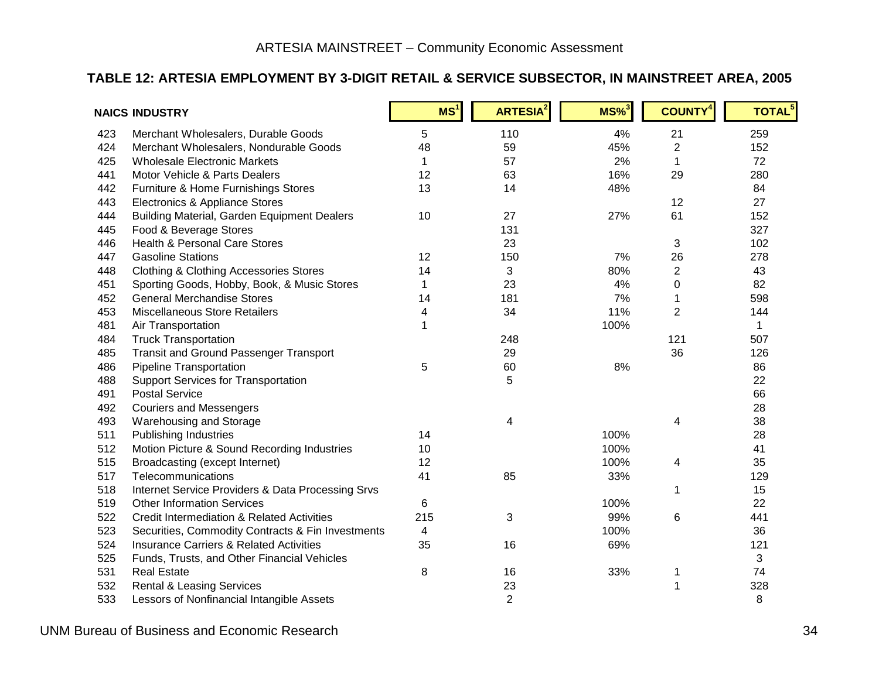#### **TABLE 12: ARTESIA EMPLOYMENT BY 3-DIGIT RETAIL & SERVICE SUBSECTOR, IN MAINSTREET AREA, 2005**

<span id="page-37-0"></span>

|     | <b>NAICS INDUSTRY</b>                                 | MS <sup>1</sup> | <b>ARTESIA<sup>2</sup></b> | $MS\%$ <sup>3</sup> | <b>COUNTY<sup>4</sup></b> | TOTAL <sup>5</sup> |
|-----|-------------------------------------------------------|-----------------|----------------------------|---------------------|---------------------------|--------------------|
| 423 | Merchant Wholesalers, Durable Goods                   | 5               | 110                        | 4%                  | 21                        | 259                |
| 424 | Merchant Wholesalers, Nondurable Goods                | 48              | 59                         | 45%                 | $\overline{2}$            | 152                |
| 425 | <b>Wholesale Electronic Markets</b>                   | 1               | 57                         | 2%                  |                           | 72                 |
| 441 | Motor Vehicle & Parts Dealers                         | 12              | 63                         | 16%                 | 29                        | 280                |
| 442 | Furniture & Home Furnishings Stores                   | 13              | 14                         | 48%                 |                           | 84                 |
| 443 | Electronics & Appliance Stores                        |                 |                            |                     | 12                        | 27                 |
| 444 | <b>Building Material, Garden Equipment Dealers</b>    | 10              | 27                         | 27%                 | 61                        | 152                |
| 445 | Food & Beverage Stores                                |                 | 131                        |                     |                           | 327                |
| 446 | <b>Health &amp; Personal Care Stores</b>              |                 | 23                         |                     | 3                         | 102                |
| 447 | <b>Gasoline Stations</b>                              | 12              | 150                        | 7%                  | 26                        | 278                |
| 448 | <b>Clothing &amp; Clothing Accessories Stores</b>     | 14              | 3                          | 80%                 | $\overline{c}$            | 43                 |
| 451 | Sporting Goods, Hobby, Book, & Music Stores           | $\mathbf 1$     | 23                         | 4%                  | 0                         | 82                 |
| 452 | <b>General Merchandise Stores</b>                     | 14              | 181                        | 7%                  | 1                         | 598                |
| 453 | Miscellaneous Store Retailers                         | 4               | 34                         | 11%                 | $\overline{2}$            | 144                |
| 481 | Air Transportation                                    | 1               |                            | 100%                |                           | $\mathbf 1$        |
| 484 | <b>Truck Transportation</b>                           |                 | 248                        |                     | 121                       | 507                |
| 485 | <b>Transit and Ground Passenger Transport</b>         |                 | 29                         |                     | 36                        | 126                |
| 486 | Pipeline Transportation                               | 5               | 60                         | 8%                  |                           | 86                 |
| 488 | <b>Support Services for Transportation</b>            |                 | 5                          |                     |                           | 22                 |
| 491 | <b>Postal Service</b>                                 |                 |                            |                     |                           | 66                 |
| 492 | <b>Couriers and Messengers</b>                        |                 |                            |                     |                           | 28                 |
| 493 | Warehousing and Storage                               |                 | 4                          |                     | 4                         | 38                 |
| 511 | <b>Publishing Industries</b>                          | 14              |                            | 100%                |                           | 28                 |
| 512 | Motion Picture & Sound Recording Industries           | 10              |                            | 100%                |                           | 41                 |
| 515 | Broadcasting (except Internet)                        | 12              |                            | 100%                | 4                         | 35                 |
| 517 | Telecommunications                                    | 41              | 85                         | 33%                 |                           | 129                |
| 518 | Internet Service Providers & Data Processing Srvs     |                 |                            |                     | 1                         | 15                 |
| 519 | <b>Other Information Services</b>                     | 6               |                            | 100%                |                           | 22                 |
| 522 | <b>Credit Intermediation &amp; Related Activities</b> | 215             | 3                          | 99%                 | 6                         | 441                |
| 523 | Securities, Commodity Contracts & Fin Investments     | 4               |                            | 100%                |                           | 36                 |
| 524 | <b>Insurance Carriers &amp; Related Activities</b>    | 35              | 16                         | 69%                 |                           | 121                |
| 525 | Funds, Trusts, and Other Financial Vehicles           |                 |                            |                     |                           | 3                  |
| 531 | <b>Real Estate</b>                                    | 8               | 16                         | 33%                 |                           | 74                 |
| 532 | <b>Rental &amp; Leasing Services</b>                  |                 | 23                         |                     |                           | 328                |
| 533 | Lessors of Nonfinancial Intangible Assets             |                 | $\overline{2}$             |                     |                           | 8                  |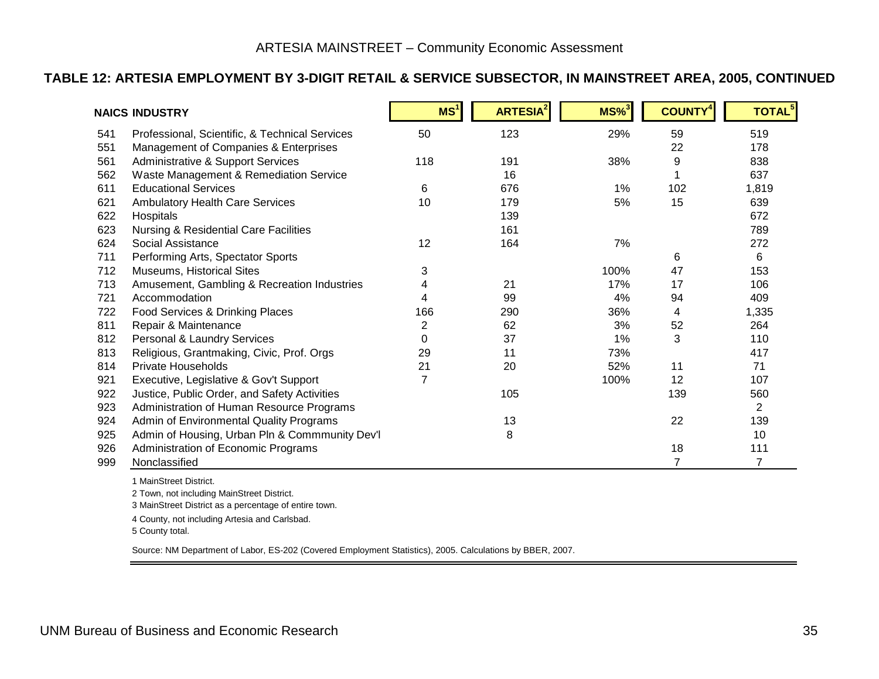#### **TABLE 12: ARTESIA EMPLOYMENT BY 3-DIGIT RETAIL & SERVICE SUBSECTOR, IN MAINSTREET AREA, 2005, CONTINUED**

|     | <b>NAICS INDUSTRY</b>                            | MS <sup>1</sup> | <b>ARTESIA<sup>2</sup></b> | $MS\%$ <sup>3</sup> | <b>COUNTY<sup>4</sup></b> | <b>TOTAL<sup>5</sup></b> |
|-----|--------------------------------------------------|-----------------|----------------------------|---------------------|---------------------------|--------------------------|
| 541 | Professional, Scientific, & Technical Services   | 50              | 123                        | 29%                 | 59                        | 519                      |
| 551 | Management of Companies & Enterprises            |                 |                            |                     | 22                        | 178                      |
| 561 | Administrative & Support Services                | 118             | 191                        | 38%                 | 9                         | 838                      |
| 562 | Waste Management & Remediation Service           |                 | 16                         |                     |                           | 637                      |
| 611 | <b>Educational Services</b>                      | 6               | 676                        | 1%                  | 102                       | 1,819                    |
| 621 | <b>Ambulatory Health Care Services</b>           | 10              | 179                        | 5%                  | 15                        | 639                      |
| 622 | Hospitals                                        |                 | 139                        |                     |                           | 672                      |
| 623 | <b>Nursing &amp; Residential Care Facilities</b> |                 | 161                        |                     |                           | 789                      |
| 624 | Social Assistance                                | 12              | 164                        | 7%                  |                           | 272                      |
| 711 | Performing Arts, Spectator Sports                |                 |                            |                     | 6                         | 6                        |
| 712 | Museums, Historical Sites                        | 3               |                            | 100%                | 47                        | 153                      |
| 713 | Amusement, Gambling & Recreation Industries      |                 | 21                         | 17%                 | 17                        | 106                      |
| 721 | Accommodation                                    |                 | 99                         | 4%                  | 94                        | 409                      |
| 722 | Food Services & Drinking Places                  | 166             | 290                        | 36%                 | 4                         | 1,335                    |
| 811 | Repair & Maintenance                             | 2               | 62                         | 3%                  | 52                        | 264                      |
| 812 | Personal & Laundry Services                      | 0               | 37                         | 1%                  | 3                         | 110                      |
| 813 | Religious, Grantmaking, Civic, Prof. Orgs        | 29              | 11                         | 73%                 |                           | 417                      |
| 814 | <b>Private Households</b>                        | 21              | 20                         | 52%                 | 11                        | 71                       |
| 921 | Executive, Legislative & Gov't Support           | 7               |                            | 100%                | 12                        | 107                      |
| 922 | Justice, Public Order, and Safety Activities     |                 | 105                        |                     | 139                       | 560                      |
| 923 | Administration of Human Resource Programs        |                 |                            |                     |                           | $\overline{2}$           |
| 924 | Admin of Environmental Quality Programs          |                 | 13                         |                     | 22                        | 139                      |
| 925 | Admin of Housing, Urban Pln & Commmunity Dev'l   |                 | 8                          |                     |                           | 10                       |
| 926 | Administration of Economic Programs              |                 |                            |                     | 18                        | 111                      |
| 999 | Nonclassified                                    |                 |                            |                     | $\overline{7}$            | 7                        |

1 MainStreet District.

2 Town, not including MainStreet District.

3 MainStreet District as a percentage of entire town.

4 County, not including Artesia and Carlsbad.

5 County total.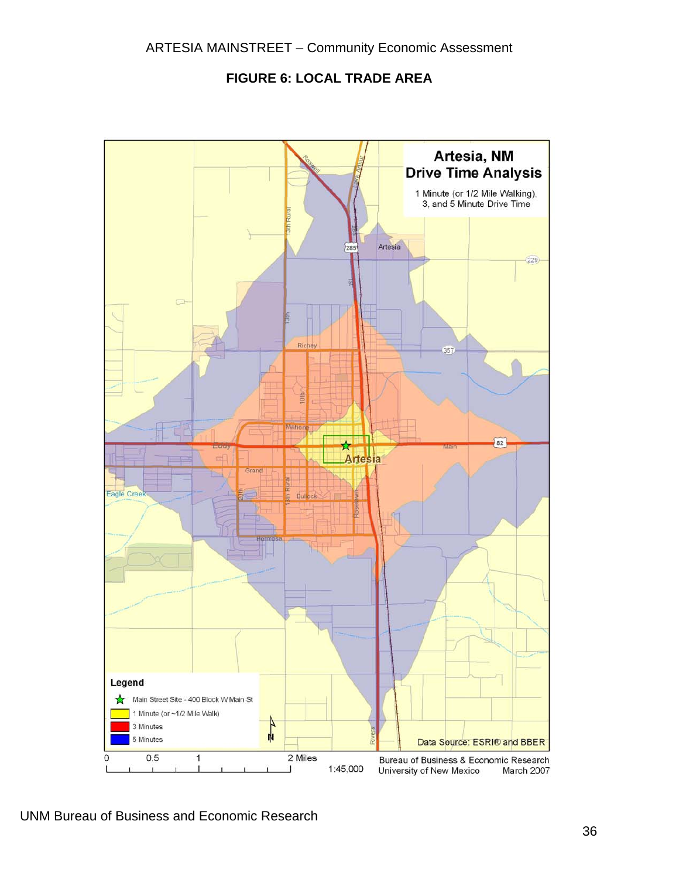**FIGURE 6: LOCAL TRADE AREA** 



UNM Bureau of Business and Economic Research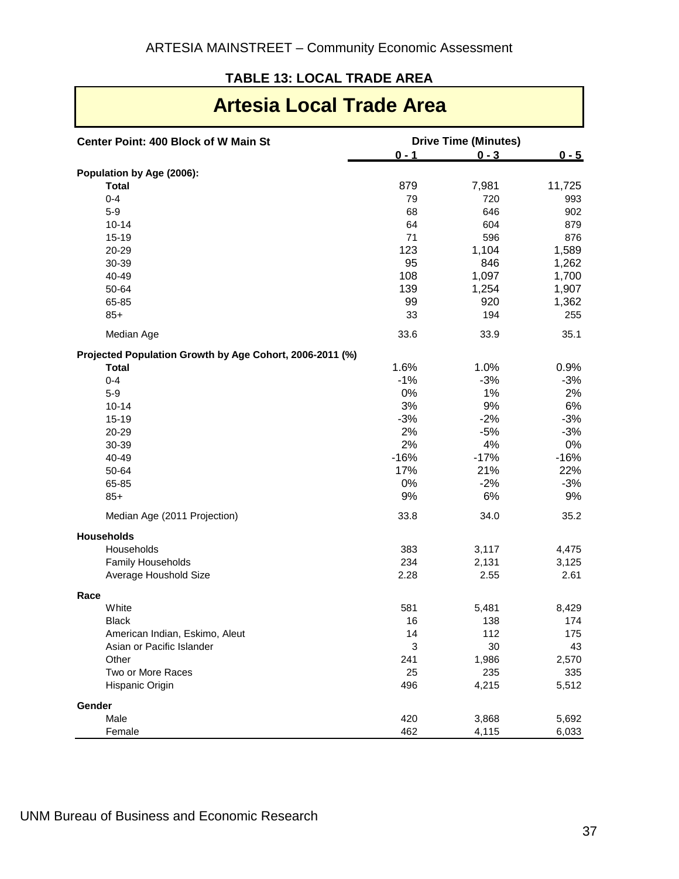### <span id="page-40-1"></span>**TABLE 13: LOCAL TRADE AREA**

<span id="page-40-0"></span>

| Center Point: 400 Block of W Main St                     |         | <b>Drive Time (Minutes)</b> |         |
|----------------------------------------------------------|---------|-----------------------------|---------|
|                                                          | $0 - 1$ | $0 - 3$                     | $0 - 5$ |
| Population by Age (2006):                                |         |                             |         |
| <b>Total</b>                                             | 879     | 7,981                       | 11,725  |
| $0 - 4$                                                  | 79      | 720                         | 993     |
| $5-9$                                                    | 68      | 646                         | 902     |
| $10 - 14$                                                | 64      | 604                         | 879     |
| 15-19                                                    | 71      | 596                         | 876     |
| 20-29                                                    | 123     | 1,104                       | 1,589   |
| 30-39                                                    | 95      | 846                         | 1,262   |
| 40-49                                                    | 108     | 1,097                       | 1,700   |
| 50-64                                                    | 139     | 1,254                       | 1,907   |
| 65-85                                                    | 99      | 920                         | 1,362   |
| $85+$                                                    | 33      | 194                         | 255     |
| Median Age                                               | 33.6    | 33.9                        | 35.1    |
| Projected Population Growth by Age Cohort, 2006-2011 (%) |         |                             |         |
| <b>Total</b>                                             | 1.6%    | 1.0%                        | 0.9%    |
| $0 - 4$                                                  | $-1%$   | $-3%$                       | $-3%$   |
| $5-9$                                                    | 0%      | 1%                          | 2%      |
| $10 - 14$                                                | 3%      | 9%                          | 6%      |
| $15 - 19$                                                | $-3%$   | $-2%$                       | $-3%$   |
| 20-29                                                    | 2%      | $-5%$                       | $-3%$   |
| 30-39                                                    | 2%      | 4%                          | 0%      |
| 40-49                                                    | $-16%$  | $-17%$                      | $-16%$  |
| 50-64                                                    | 17%     | 21%                         | 22%     |
| 65-85                                                    | 0%      | $-2%$                       | $-3%$   |
| $85+$                                                    | 9%      | 6%                          | 9%      |
| Median Age (2011 Projection)                             | 33.8    | 34.0                        | 35.2    |
| <b>Households</b>                                        |         |                             |         |
| Households                                               | 383     | 3,117                       | 4,475   |
| Family Households                                        | 234     | 2,131                       | 3,125   |
| Average Houshold Size                                    | 2.28    | 2.55                        | 2.61    |
| Race<br>White                                            | 581     | 5,481                       | 8,429   |
| <b>Black</b>                                             | 16      | 138                         | 174     |
| American Indian, Eskimo, Aleut                           | 14      | 112                         | 175     |
| Asian or Pacific Islander                                | 3       | 30                          | 43      |
| Other                                                    | 241     | 1,986                       | 2,570   |
| Two or More Races                                        | 25      | 235                         | 335     |
| Hispanic Origin                                          | 496     | 4,215                       | 5,512   |
| Gender                                                   |         |                             |         |
| Male                                                     | 420     | 3,868                       | 5,692   |
| Female                                                   | 462     | 4,115                       | 6,033   |

# **Artesia Local Trade Area**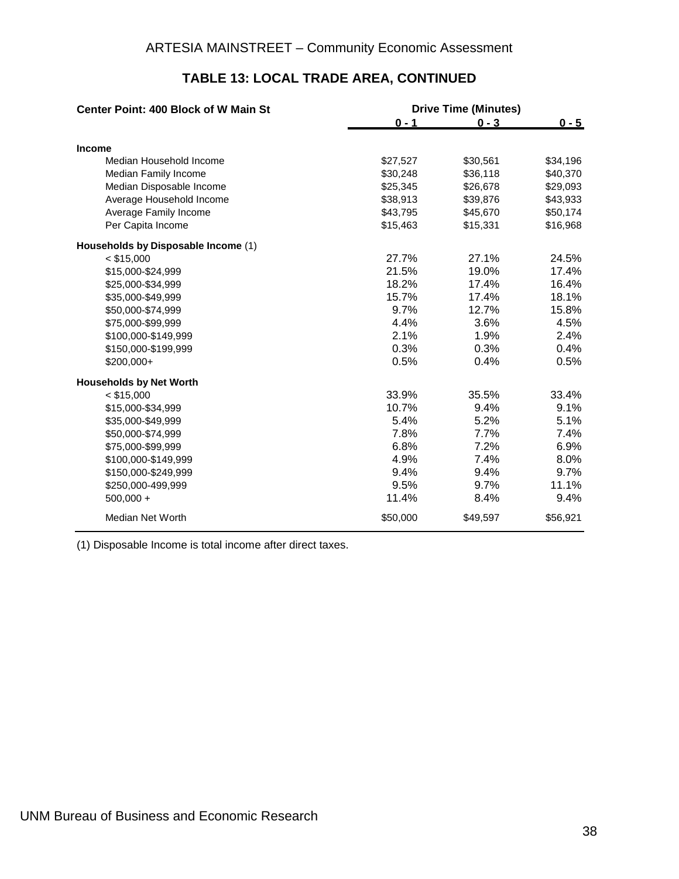| <b>Center Point: 400 Block of W Main St</b> | <b>Drive Time (Minutes)</b> |          |          |  |
|---------------------------------------------|-----------------------------|----------|----------|--|
|                                             | $0 - 1$                     | $0 - 3$  | $0 - 5$  |  |
| <b>Income</b>                               |                             |          |          |  |
| Median Household Income                     | \$27,527                    | \$30,561 | \$34,196 |  |
| Median Family Income                        | \$30,248                    | \$36,118 | \$40,370 |  |
| Median Disposable Income                    | \$25,345                    | \$26,678 | \$29,093 |  |
| Average Household Income                    | \$38,913                    | \$39,876 | \$43,933 |  |
| Average Family Income                       | \$43,795                    | \$45,670 | \$50,174 |  |
| Per Capita Income                           | \$15,463                    | \$15,331 | \$16,968 |  |
| Households by Disposable Income (1)         |                             |          |          |  |
| $<$ \$15,000                                | 27.7%                       | 27.1%    | 24.5%    |  |
| \$15,000-\$24,999                           | 21.5%                       | 19.0%    | 17.4%    |  |
| \$25,000-\$34,999                           | 18.2%                       | 17.4%    | 16.4%    |  |
| \$35,000-\$49,999                           | 15.7%                       | 17.4%    | 18.1%    |  |
| \$50,000-\$74,999                           | 9.7%                        | 12.7%    | 15.8%    |  |
| \$75,000-\$99,999                           | 4.4%                        | 3.6%     | 4.5%     |  |
| \$100,000-\$149,999                         | 2.1%                        | 1.9%     | 2.4%     |  |
| \$150,000-\$199,999                         | 0.3%                        | 0.3%     | 0.4%     |  |
| $$200,000+$                                 | 0.5%                        | 0.4%     | 0.5%     |  |
| <b>Households by Net Worth</b>              |                             |          |          |  |
| $<$ \$15,000                                | 33.9%                       | 35.5%    | 33.4%    |  |
| \$15,000-\$34,999                           | 10.7%                       | 9.4%     | 9.1%     |  |
| \$35,000-\$49,999                           | 5.4%                        | 5.2%     | 5.1%     |  |
| \$50,000-\$74,999                           | 7.8%                        | 7.7%     | 7.4%     |  |
| \$75,000-\$99,999                           | 6.8%                        | 7.2%     | 6.9%     |  |
| \$100,000-\$149,999                         | 4.9%                        | 7.4%     | 8.0%     |  |
| \$150,000-\$249,999                         | 9.4%                        | 9.4%     | 9.7%     |  |
| \$250,000-499,999                           | 9.5%                        | 9.7%     | 11.1%    |  |
| $500,000 +$                                 | 11.4%                       | 8.4%     | 9.4%     |  |
| Median Net Worth                            | \$50,000                    | \$49,597 | \$56,921 |  |

#### **TABLE 13: LOCAL TRADE AREA, CONTINUED**

(1) Disposable Income is total income after direct taxes.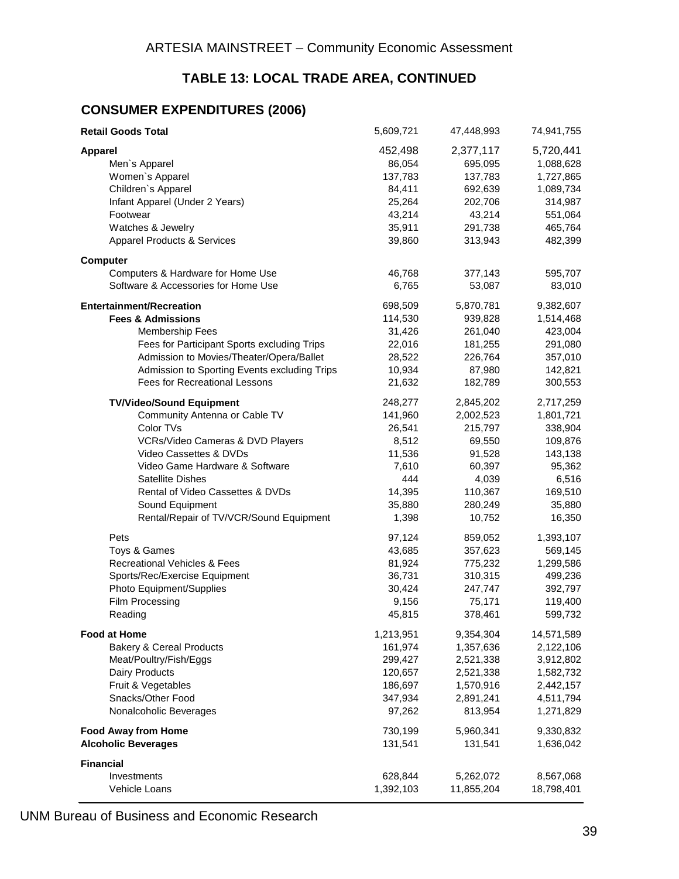# **TABLE 13: LOCAL TRADE AREA, CONTINUED**

#### **CONSUMER EXPENDITURES (2006)**

| <b>Retail Goods Total</b>                    | 5,609,721 | 47,448,993 | 74,941,755 |
|----------------------------------------------|-----------|------------|------------|
| <b>Apparel</b>                               | 452,498   | 2,377,117  | 5,720,441  |
| Men's Apparel                                | 86,054    | 695,095    | 1,088,628  |
| Women's Apparel                              | 137,783   | 137,783    | 1,727,865  |
| Children's Apparel                           | 84,411    | 692,639    | 1,089,734  |
| Infant Apparel (Under 2 Years)               | 25,264    | 202,706    | 314,987    |
| Footwear                                     | 43,214    | 43,214     | 551,064    |
| Watches & Jewelry                            | 35,911    | 291,738    | 465,764    |
| <b>Apparel Products &amp; Services</b>       | 39,860    | 313,943    | 482,399    |
| <b>Computer</b>                              |           |            |            |
| Computers & Hardware for Home Use            | 46,768    | 377,143    | 595,707    |
| Software & Accessories for Home Use          | 6,765     | 53,087     | 83,010     |
| <b>Entertainment/Recreation</b>              | 698,509   | 5,870,781  | 9,382,607  |
| <b>Fees &amp; Admissions</b>                 | 114,530   | 939,828    | 1,514,468  |
| <b>Membership Fees</b>                       | 31,426    | 261,040    | 423,004    |
| Fees for Participant Sports excluding Trips  | 22,016    | 181,255    | 291,080    |
| Admission to Movies/Theater/Opera/Ballet     | 28,522    | 226,764    | 357,010    |
| Admission to Sporting Events excluding Trips | 10,934    | 87,980     | 142,821    |
| Fees for Recreational Lessons                | 21,632    | 182,789    | 300,553    |
| <b>TV/Video/Sound Equipment</b>              | 248,277   | 2,845,202  | 2,717,259  |
| Community Antenna or Cable TV                | 141,960   | 2,002,523  | 1,801,721  |
| Color TVs                                    | 26,541    | 215,797    | 338,904    |
| VCRs/Video Cameras & DVD Players             | 8,512     | 69,550     | 109,876    |
| Video Cassettes & DVDs                       | 11,536    | 91,528     | 143,138    |
| Video Game Hardware & Software               | 7,610     | 60,397     | 95,362     |
| Satellite Dishes                             | 444       | 4,039      | 6,516      |
| Rental of Video Cassettes & DVDs             | 14,395    | 110,367    | 169,510    |
| Sound Equipment                              | 35,880    | 280,249    | 35,880     |
| Rental/Repair of TV/VCR/Sound Equipment      | 1,398     | 10,752     | 16,350     |
| Pets                                         | 97,124    | 859,052    | 1,393,107  |
| Toys & Games                                 | 43,685    | 357,623    | 569,145    |
| <b>Recreational Vehicles &amp; Fees</b>      | 81,924    | 775,232    | 1,299,586  |
| Sports/Rec/Exercise Equipment                | 36,731    | 310,315    | 499,236    |
| Photo Equipment/Supplies                     | 30,424    | 247,747    | 392,797    |
| Film Processing                              | 9,156     | 75,171     | 119,400    |
| Reading                                      | 45,815    | 378,461    | 599,732    |
| <b>Food at Home</b>                          | 1,213,951 | 9,354,304  | 14,571,589 |
| <b>Bakery &amp; Cereal Products</b>          | 161,974   | 1,357,636  | 2,122,106  |
| Meat/Poultry/Fish/Eggs                       | 299,427   | 2,521,338  | 3,912,802  |
| Dairy Products                               | 120,657   | 2,521,338  | 1,582,732  |
| Fruit & Vegetables                           | 186,697   | 1,570,916  | 2,442,157  |
| Snacks/Other Food                            | 347,934   | 2,891,241  | 4,511,794  |
| Nonalcoholic Beverages                       | 97,262    | 813,954    | 1,271,829  |
| <b>Food Away from Home</b>                   | 730,199   | 5,960,341  | 9,330,832  |
| <b>Alcoholic Beverages</b>                   | 131,541   | 131,541    | 1,636,042  |
| <b>Financial</b>                             |           |            |            |
| Investments                                  | 628,844   | 5,262,072  | 8,567,068  |
| Vehicle Loans                                | 1,392,103 | 11,855,204 | 18,798,401 |

UNM Bureau of Business and Economic Research